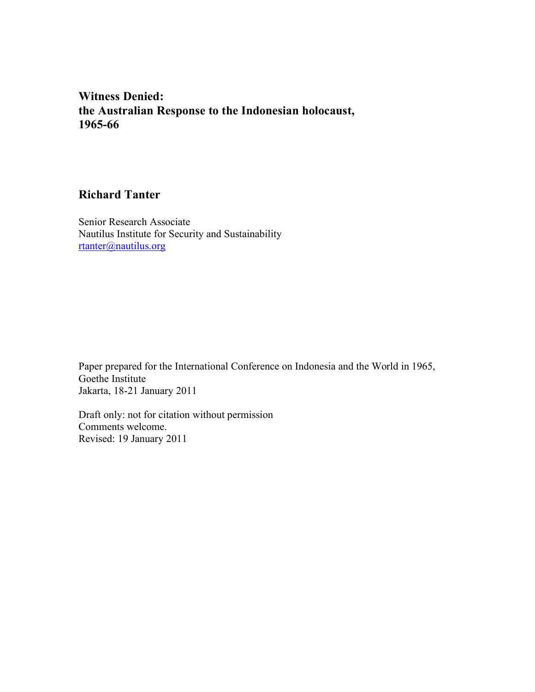**Witness Denied: the Australian Response to the Indonesian holocaust, 1965-66**

# **Richard Tanter**

Senior Research Associate Nautilus Institute for Security and Sustainability rtanter@nautilus.org

Paper prepared for the International Conference on Indonesia and the World in 1965, Goethe Institute Jakarta, 18-21 January 2011

Draft only: not for citation without permission Comments welcome. Revised: 19 January 2011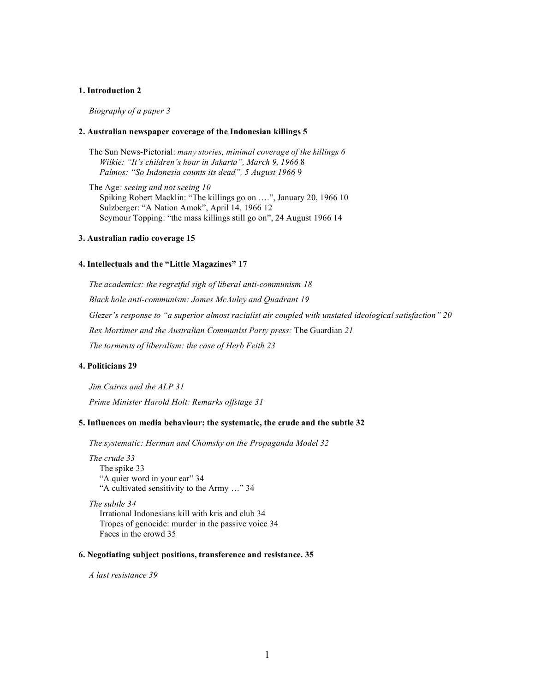#### **1. Introduction 2**

*Biography of a paper 3*

#### **2. Australian newspaper coverage of the Indonesian killings 5**

The Sun News-Pictorial: *many stories, minimal coverage of the killings 6 Wilkie: "It's children's hour in Jakarta", March 9, 1966* 8 *Palmos: "So Indonesia counts its dead", 5 August 1966* 9

The Age*: seeing and not seeing 10* Spiking Robert Macklin: "The killings go on ….", January 20, 1966 10 Sulzberger: "A Nation Amok", April 14, 1966 12 Seymour Topping: "the mass killings still go on", 24 August 1966 14

#### **3. Australian radio coverage 15**

#### **4. Intellectuals and the "Little Magazines" 17**

*The academics: the regretful sigh of liberal anti-communism 18 Black hole anti-communism: James McAuley and Quadrant 19 Glezer's response to "a superior almost racialist air coupled with unstated ideological satisfaction" 20 Rex Mortimer and the Australian Communist Party press:* The Guardian *21 The torments of liberalism: the case of Herb Feith 23*

#### **4. Politicians 29**

*Jim Cairns and the ALP 31 Prime Minister Harold Holt: Remarks offstage 31*

#### **5. Influences on media behaviour: the systematic, the crude and the subtle 32**

*The systematic: Herman and Chomsky on the Propaganda Model 32*

*The crude 33* The spike 33 "A quiet word in your ear" 34 "A cultivated sensitivity to the Army …" 34

*The subtle 34* Irrational Indonesians kill with kris and club 34 Tropes of genocide: murder in the passive voice 34 Faces in the crowd 35

#### **6. Negotiating subject positions, transference and resistance. 35**

*A last resistance 39*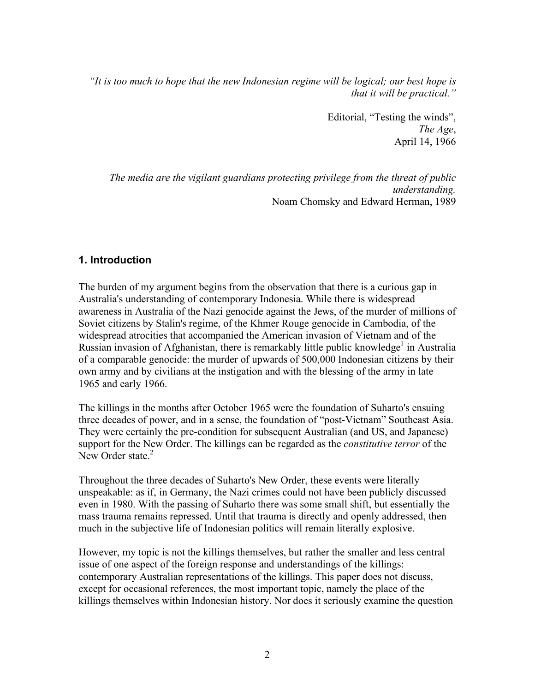*"It is too much to hope that the new Indonesian regime will be logical; our best hope is that it will be practical."*

> Editorial, "Testing the winds", *The Age*, April 14, 1966

*The media are the vigilant guardians protecting privilege from the threat of public understanding.* Noam Chomsky and Edward Herman, 1989

### **1. Introduction**

The burden of my argument begins from the observation that there is a curious gap in Australia's understanding of contemporary Indonesia. While there is widespread awareness in Australia of the Nazi genocide against the Jews, of the murder of millions of Soviet citizens by Stalin's regime, of the Khmer Rouge genocide in Cambodia, of the widespread atrocities that accompanied the American invasion of Vietnam and of the Russian invasion of Afghanistan, there is remarkably little public knowledge<sup>1</sup> in Australia of a comparable genocide: the murder of upwards of 500,000 Indonesian citizens by their own army and by civilians at the instigation and with the blessing of the army in late 1965 and early 1966.

The killings in the months after October 1965 were the foundation of Suharto's ensuing three decades of power, and in a sense, the foundation of "post-Vietnam" Southeast Asia. They were certainly the pre-condition for subsequent Australian (and US, and Japanese) support for the New Order. The killings can be regarded as the *constitutive terror* of the New Order state  $2$ 

Throughout the three decades of Suharto's New Order, these events were literally unspeakable: as if, in Germany, the Nazi crimes could not have been publicly discussed even in 1980. With the passing of Suharto there was some small shift, but essentially the mass trauma remains repressed. Until that trauma is directly and openly addressed, then much in the subjective life of Indonesian politics will remain literally explosive.

However, my topic is not the killings themselves, but rather the smaller and less central issue of one aspect of the foreign response and understandings of the killings: contemporary Australian representations of the killings. This paper does not discuss, except for occasional references, the most important topic, namely the place of the killings themselves within Indonesian history. Nor does it seriously examine the question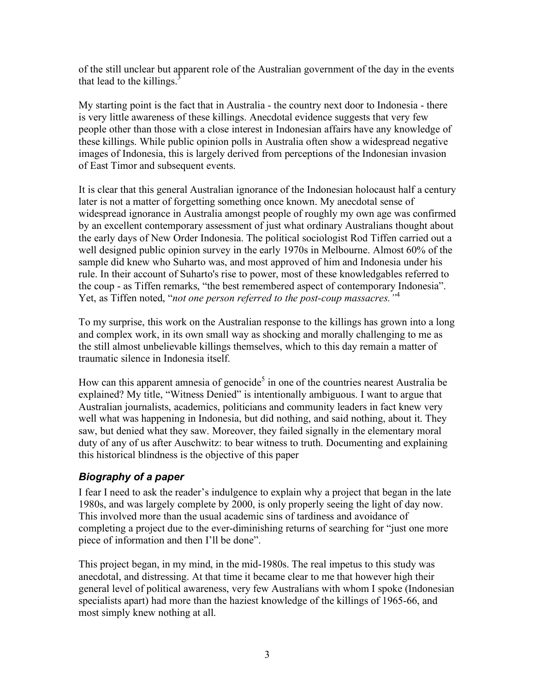of the still unclear but apparent role of the Australian government of the day in the events that lead to the killings. $3$ 

My starting point is the fact that in Australia - the country next door to Indonesia - there is very little awareness of these killings. Anecdotal evidence suggests that very few people other than those with a close interest in Indonesian affairs have any knowledge of these killings. While public opinion polls in Australia often show a widespread negative images of Indonesia, this is largely derived from perceptions of the Indonesian invasion of East Timor and subsequent events.

It is clear that this general Australian ignorance of the Indonesian holocaust half a century later is not a matter of forgetting something once known. My anecdotal sense of widespread ignorance in Australia amongst people of roughly my own age was confirmed by an excellent contemporary assessment of just what ordinary Australians thought about the early days of New Order Indonesia. The political sociologist Rod Tiffen carried out a well designed public opinion survey in the early 1970s in Melbourne. Almost 60% of the sample did knew who Suharto was, and most approved of him and Indonesia under his rule. In their account of Suharto's rise to power, most of these knowledgables referred to the coup - as Tiffen remarks, "the best remembered aspect of contemporary Indonesia". Yet, as Tiffen noted, "*not one person referred to the post-coup massacres."*<sup>4</sup>

To my surprise, this work on the Australian response to the killings has grown into a long and complex work, in its own small way as shocking and morally challenging to me as the still almost unbelievable killings themselves, which to this day remain a matter of traumatic silence in Indonesia itself.

How can this apparent amnesia of genocide<sup>5</sup> in one of the countries nearest Australia be explained? My title, "Witness Denied" is intentionally ambiguous. I want to argue that Australian journalists, academics, politicians and community leaders in fact knew very well what was happening in Indonesia, but did nothing, and said nothing, about it. They saw, but denied what they saw. Moreover, they failed signally in the elementary moral duty of any of us after Auschwitz: to bear witness to truth. Documenting and explaining this historical blindness is the objective of this paper

## *Biography of a paper*

I fear I need to ask the reader's indulgence to explain why a project that began in the late 1980s, and was largely complete by 2000, is only properly seeing the light of day now. This involved more than the usual academic sins of tardiness and avoidance of completing a project due to the ever-diminishing returns of searching for "just one more piece of information and then I'll be done".

This project began, in my mind, in the mid-1980s. The real impetus to this study was anecdotal, and distressing. At that time it became clear to me that however high their general level of political awareness, very few Australians with whom I spoke (Indonesian specialists apart) had more than the haziest knowledge of the killings of 1965-66, and most simply knew nothing at all.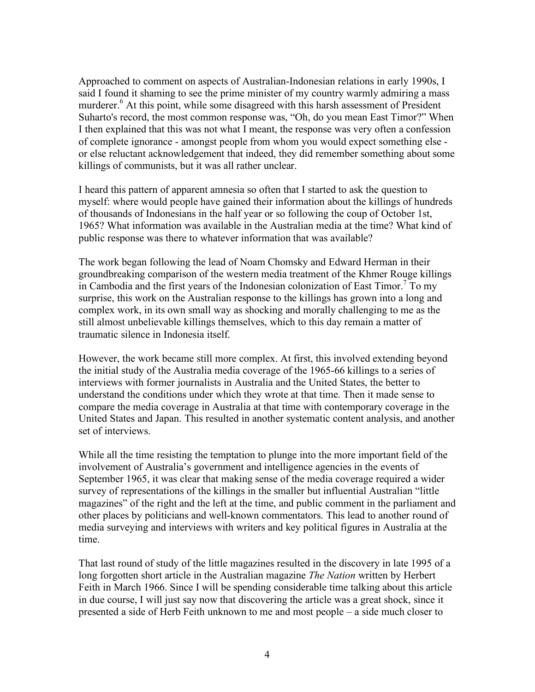Approached to comment on aspects of Australian-Indonesian relations in early 1990s, I said I found it shaming to see the prime minister of my country warmly admiring a mass murderer.<sup>6</sup> At this point, while some disagreed with this harsh assessment of President Suharto's record, the most common response was, "Oh, do you mean East Timor?" When I then explained that this was not what I meant, the response was very often a confession of complete ignorance - amongst people from whom you would expect something else or else reluctant acknowledgement that indeed, they did remember something about some killings of communists, but it was all rather unclear.

I heard this pattern of apparent amnesia so often that I started to ask the question to myself: where would people have gained their information about the killings of hundreds of thousands of Indonesians in the half year or so following the coup of October 1st, 1965? What information was available in the Australian media at the time? What kind of public response was there to whatever information that was available?

The work began following the lead of Noam Chomsky and Edward Herman in their groundbreaking comparison of the western media treatment of the Khmer Rouge killings in Cambodia and the first years of the Indonesian colonization of East Timor.<sup>7</sup> To my surprise, this work on the Australian response to the killings has grown into a long and complex work, in its own small way as shocking and morally challenging to me as the still almost unbelievable killings themselves, which to this day remain a matter of traumatic silence in Indonesia itself.

However, the work became still more complex. At first, this involved extending beyond the initial study of the Australia media coverage of the 1965-66 killings to a series of interviews with former journalists in Australia and the United States, the better to understand the conditions under which they wrote at that time. Then it made sense to compare the media coverage in Australia at that time with contemporary coverage in the United States and Japan. This resulted in another systematic content analysis, and another set of interviews.

While all the time resisting the temptation to plunge into the more important field of the involvement of Australia's government and intelligence agencies in the events of September 1965, it was clear that making sense of the media coverage required a wider survey of representations of the killings in the smaller but influential Australian "little magazines" of the right and the left at the time, and public comment in the parliament and other places by politicians and well-known commentators. This lead to another round of media surveying and interviews with writers and key political figures in Australia at the time.

That last round of study of the little magazines resulted in the discovery in late 1995 of a long forgotten short article in the Australian magazine *The Nation* written by Herbert Feith in March 1966. Since I will be spending considerable time talking about this article in due course, I will just say now that discovering the article was a great shock, since it presented a side of Herb Feith unknown to me and most people – a side much closer to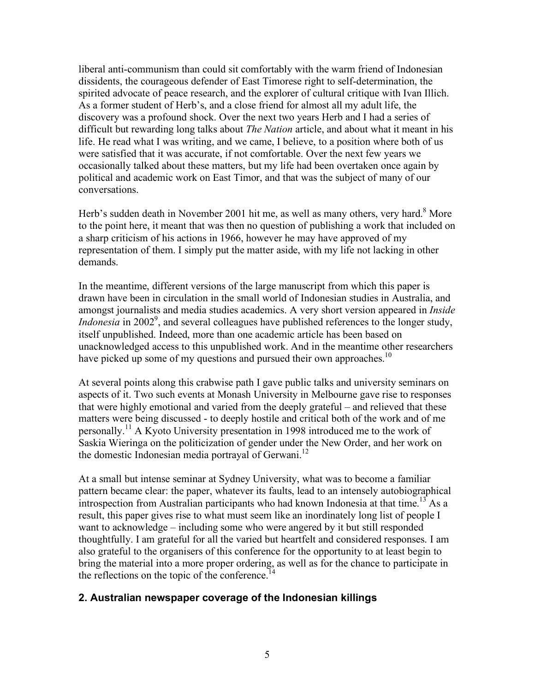liberal anti-communism than could sit comfortably with the warm friend of Indonesian dissidents, the courageous defender of East Timorese right to self-determination, the spirited advocate of peace research, and the explorer of cultural critique with Ivan Illich. As a former student of Herb's, and a close friend for almost all my adult life, the discovery was a profound shock. Over the next two years Herb and I had a series of difficult but rewarding long talks about *The Nation* article, and about what it meant in his life. He read what I was writing, and we came, I believe, to a position where both of us were satisfied that it was accurate, if not comfortable. Over the next few years we occasionally talked about these matters, but my life had been overtaken once again by political and academic work on East Timor, and that was the subject of many of our conversations.

Herb's sudden death in November 2001 hit me, as well as many others, very hard.<sup>8</sup> More to the point here, it meant that was then no question of publishing a work that included on a sharp criticism of his actions in 1966, however he may have approved of my representation of them. I simply put the matter aside, with my life not lacking in other demands.

In the meantime, different versions of the large manuscript from which this paper is drawn have been in circulation in the small world of Indonesian studies in Australia, and amongst journalists and media studies academics. A very short version appeared in *Inside Indonesia* in 2002<sup>9</sup>, and several colleagues have published references to the longer study, itself unpublished. Indeed, more than one academic article has been based on unacknowledged access to this unpublished work. And in the meantime other researchers have picked up some of my questions and pursued their own approaches.<sup>10</sup>

At several points along this crabwise path I gave public talks and university seminars on aspects of it. Two such events at Monash University in Melbourne gave rise to responses that were highly emotional and varied from the deeply grateful – and relieved that these matters were being discussed - to deeply hostile and critical both of the work and of me personally.11 A Kyoto University presentation in 1998 introduced me to the work of Saskia Wieringa on the politicization of gender under the New Order, and her work on the domestic Indonesian media portrayal of Gerwani.<sup>12</sup>

At a small but intense seminar at Sydney University, what was to become a familiar pattern became clear: the paper, whatever its faults, lead to an intensely autobiographical introspection from Australian participants who had known Indonesia at that time.<sup>13</sup> As a result, this paper gives rise to what must seem like an inordinately long list of people I want to acknowledge – including some who were angered by it but still responded thoughtfully. I am grateful for all the varied but heartfelt and considered responses. I am also grateful to the organisers of this conference for the opportunity to at least begin to bring the material into a more proper ordering, as well as for the chance to participate in the reflections on the topic of the conference.<sup>14</sup>

## **2. Australian newspaper coverage of the Indonesian killings**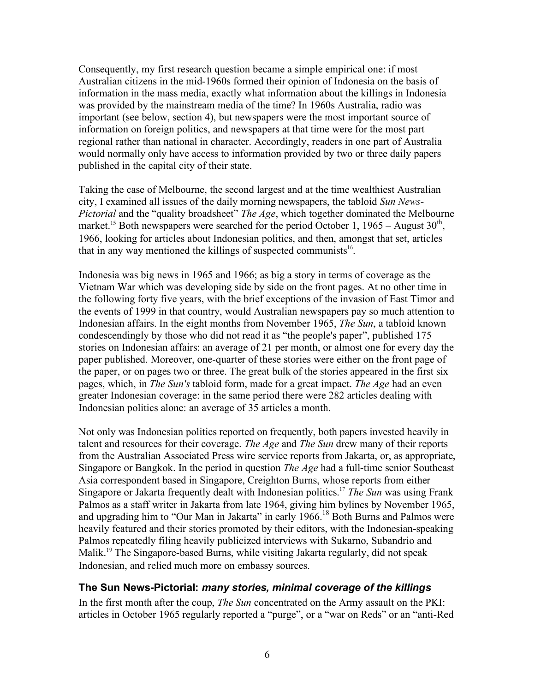Consequently, my first research question became a simple empirical one: if most Australian citizens in the mid-1960s formed their opinion of Indonesia on the basis of information in the mass media, exactly what information about the killings in Indonesia was provided by the mainstream media of the time? In 1960s Australia, radio was important (see below, section 4), but newspapers were the most important source of information on foreign politics, and newspapers at that time were for the most part regional rather than national in character. Accordingly, readers in one part of Australia would normally only have access to information provided by two or three daily papers published in the capital city of their state.

Taking the case of Melbourne, the second largest and at the time wealthiest Australian city, I examined all issues of the daily morning newspapers, the tabloid *Sun News-Pictorial* and the "quality broadsheet" *The Age*, which together dominated the Melbourne market.<sup>15</sup> Both newspapers were searched for the period October 1, 1965 – August  $30<sup>th</sup>$ , 1966, looking for articles about Indonesian politics, and then, amongst that set, articles that in any way mentioned the killings of suspected communists<sup>16</sup>.

Indonesia was big news in 1965 and 1966; as big a story in terms of coverage as the Vietnam War which was developing side by side on the front pages. At no other time in the following forty five years, with the brief exceptions of the invasion of East Timor and the events of 1999 in that country, would Australian newspapers pay so much attention to Indonesian affairs. In the eight months from November 1965, *The Sun*, a tabloid known condescendingly by those who did not read it as "the people's paper", published 175 stories on Indonesian affairs: an average of 21 per month, or almost one for every day the paper published. Moreover, one-quarter of these stories were either on the front page of the paper, or on pages two or three. The great bulk of the stories appeared in the first six pages, which, in *The Sun's* tabloid form, made for a great impact. *The Age* had an even greater Indonesian coverage: in the same period there were 282 articles dealing with Indonesian politics alone: an average of 35 articles a month.

Not only was Indonesian politics reported on frequently, both papers invested heavily in talent and resources for their coverage. *The Age* and *The Sun* drew many of their reports from the Australian Associated Press wire service reports from Jakarta, or, as appropriate, Singapore or Bangkok. In the period in question *The Age* had a full-time senior Southeast Asia correspondent based in Singapore, Creighton Burns, whose reports from either Singapore or Jakarta frequently dealt with Indonesian politics.<sup>17</sup> *The Sun* was using Frank Palmos as a staff writer in Jakarta from late 1964, giving him bylines by November 1965, and upgrading him to "Our Man in Jakarta" in early  $1966$ <sup>18</sup> Both Burns and Palmos were heavily featured and their stories promoted by their editors, with the Indonesian-speaking Palmos repeatedly filing heavily publicized interviews with Sukarno, Subandrio and Malik.<sup>19</sup> The Singapore-based Burns, while visiting Jakarta regularly, did not speak Indonesian, and relied much more on embassy sources.

## **The Sun News-Pictorial:** *many stories, minimal coverage of the killings*

In the first month after the coup, *The Sun* concentrated on the Army assault on the PKI: articles in October 1965 regularly reported a "purge", or a "war on Reds" or an "anti-Red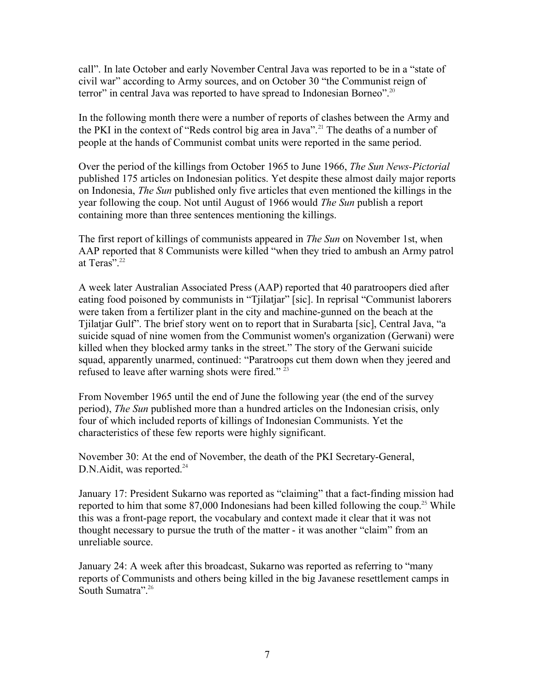call". In late October and early November Central Java was reported to be in a "state of civil war" according to Army sources, and on October 30 "the Communist reign of terror" in central Java was reported to have spread to Indonesian Borneo".<sup>20</sup>

In the following month there were a number of reports of clashes between the Army and the PKI in the context of "Reds control big area in Java".<sup>21</sup> The deaths of a number of people at the hands of Communist combat units were reported in the same period.

Over the period of the killings from October 1965 to June 1966, *The Sun News-Pictorial* published 175 articles on Indonesian politics. Yet despite these almost daily major reports on Indonesia, *The Sun* published only five articles that even mentioned the killings in the year following the coup. Not until August of 1966 would *The Sun* publish a report containing more than three sentences mentioning the killings.

The first report of killings of communists appeared in *The Sun* on November 1st, when AAP reported that 8 Communists were killed "when they tried to ambush an Army patrol at Teras". 22

A week later Australian Associated Press (AAP) reported that 40 paratroopers died after eating food poisoned by communists in "Tjilatjar" [sic]. In reprisal "Communist laborers were taken from a fertilizer plant in the city and machine-gunned on the beach at the Tjilatjar Gulf". The brief story went on to report that in Surabarta [sic], Central Java, "a suicide squad of nine women from the Communist women's organization (Gerwani) were killed when they blocked army tanks in the street." The story of the Gerwani suicide squad, apparently unarmed, continued: "Paratroops cut them down when they jeered and refused to leave after warning shots were fired."<sup>23</sup>

From November 1965 until the end of June the following year (the end of the survey period), *The Sun* published more than a hundred articles on the Indonesian crisis, only four of which included reports of killings of Indonesian Communists. Yet the characteristics of these few reports were highly significant.

November 30: At the end of November, the death of the PKI Secretary-General,  $D.N.$ Aidit, was reported.<sup>24</sup>

January 17: President Sukarno was reported as "claiming" that a fact-finding mission had reported to him that some  $87,000$  Indonesians had been killed following the coup.<sup>25</sup> While this was a front-page report, the vocabulary and context made it clear that it was not thought necessary to pursue the truth of the matter - it was another "claim" from an unreliable source.

January 24: A week after this broadcast, Sukarno was reported as referring to "many reports of Communists and others being killed in the big Javanese resettlement camps in South Sumatra".<sup>26</sup>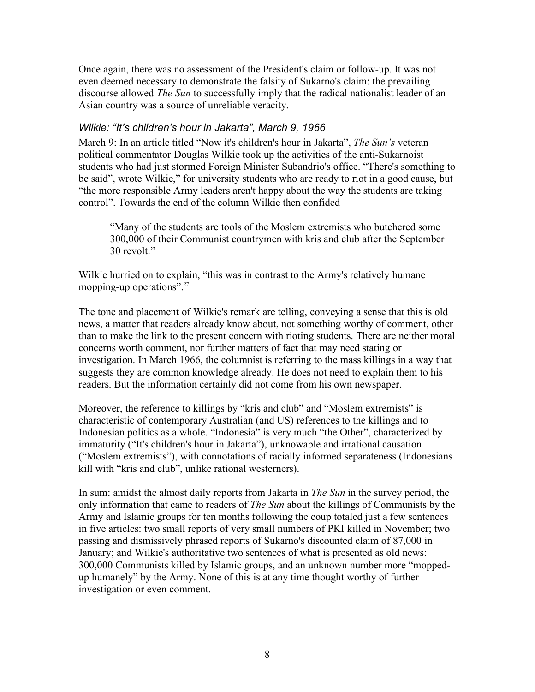Once again, there was no assessment of the President's claim or follow-up. It was not even deemed necessary to demonstrate the falsity of Sukarno's claim: the prevailing discourse allowed *The Sun* to successfully imply that the radical nationalist leader of an Asian country was a source of unreliable veracity.

### *Wilkie: "It's children's hour in Jakarta", March 9, 1966*

March 9: In an article titled "Now it's children's hour in Jakarta", *The Sun's* veteran political commentator Douglas Wilkie took up the activities of the anti-Sukarnoist students who had just stormed Foreign Minister Subandrio's office. "There's something to be said", wrote Wilkie," for university students who are ready to riot in a good cause, but "the more responsible Army leaders aren't happy about the way the students are taking control". Towards the end of the column Wilkie then confided

"Many of the students are tools of the Moslem extremists who butchered some 300,000 of their Communist countrymen with kris and club after the September 30 revolt."

Wilkie hurried on to explain, "this was in contrast to the Army's relatively humane mopping-up operations".<sup>27</sup>

The tone and placement of Wilkie's remark are telling, conveying a sense that this is old news, a matter that readers already know about, not something worthy of comment, other than to make the link to the present concern with rioting students. There are neither moral concerns worth comment, nor further matters of fact that may need stating or investigation. In March 1966, the columnist is referring to the mass killings in a way that suggests they are common knowledge already. He does not need to explain them to his readers. But the information certainly did not come from his own newspaper.

Moreover, the reference to killings by "kris and club" and "Moslem extremists" is characteristic of contemporary Australian (and US) references to the killings and to Indonesian politics as a whole. "Indonesia" is very much "the Other", characterized by immaturity ("It's children's hour in Jakarta"), unknowable and irrational causation ("Moslem extremists"), with connotations of racially informed separateness (Indonesians kill with "kris and club", unlike rational westerners).

In sum: amidst the almost daily reports from Jakarta in *The Sun* in the survey period, the only information that came to readers of *The Sun* about the killings of Communists by the Army and Islamic groups for ten months following the coup totaled just a few sentences in five articles: two small reports of very small numbers of PKI killed in November; two passing and dismissively phrased reports of Sukarno's discounted claim of 87,000 in January; and Wilkie's authoritative two sentences of what is presented as old news: 300,000 Communists killed by Islamic groups, and an unknown number more "moppedup humanely" by the Army. None of this is at any time thought worthy of further investigation or even comment.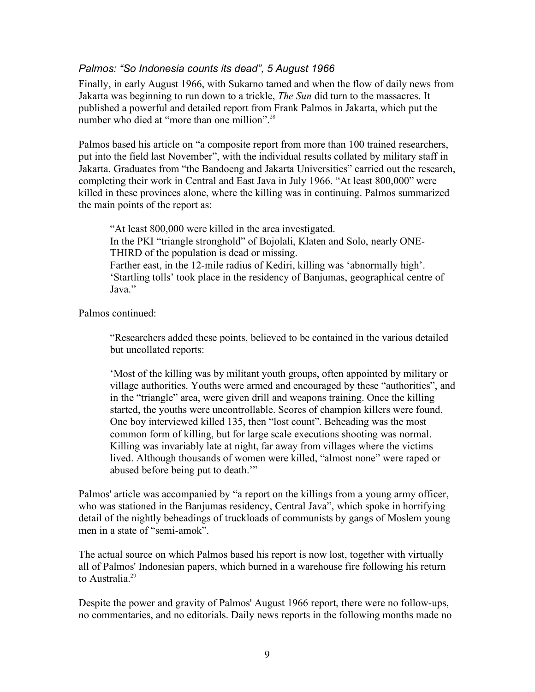#### *Palmos: "So Indonesia counts its dead", 5 August 1966*

Finally, in early August 1966, with Sukarno tamed and when the flow of daily news from Jakarta was beginning to run down to a trickle, *The Sun* did turn to the massacres. It published a powerful and detailed report from Frank Palmos in Jakarta, which put the number who died at "more than one million".<sup>28</sup>

Palmos based his article on "a composite report from more than 100 trained researchers, put into the field last November", with the individual results collated by military staff in Jakarta. Graduates from "the Bandoeng and Jakarta Universities" carried out the research, completing their work in Central and East Java in July 1966. "At least 800,000" were killed in these provinces alone, where the killing was in continuing. Palmos summarized the main points of the report as:

"At least 800,000 were killed in the area investigated. In the PKI "triangle stronghold" of Bojolali, Klaten and Solo, nearly ONE-THIRD of the population is dead or missing. Farther east, in the 12-mile radius of Kediri, killing was 'abnormally high'. 'Startling tolls' took place in the residency of Banjumas, geographical centre of Java."

Palmos continued:

"Researchers added these points, believed to be contained in the various detailed but uncollated reports:

'Most of the killing was by militant youth groups, often appointed by military or village authorities. Youths were armed and encouraged by these "authorities", and in the "triangle" area, were given drill and weapons training. Once the killing started, the youths were uncontrollable. Scores of champion killers were found. One boy interviewed killed 135, then "lost count". Beheading was the most common form of killing, but for large scale executions shooting was normal. Killing was invariably late at night, far away from villages where the victims lived. Although thousands of women were killed, "almost none" were raped or abused before being put to death.'"

Palmos' article was accompanied by "a report on the killings from a young army officer, who was stationed in the Banjumas residency, Central Java", which spoke in horrifying detail of the nightly beheadings of truckloads of communists by gangs of Moslem young men in a state of "semi-amok".

The actual source on which Palmos based his report is now lost, together with virtually all of Palmos' Indonesian papers, which burned in a warehouse fire following his return to Australia.<sup>29</sup>

Despite the power and gravity of Palmos' August 1966 report, there were no follow-ups, no commentaries, and no editorials. Daily news reports in the following months made no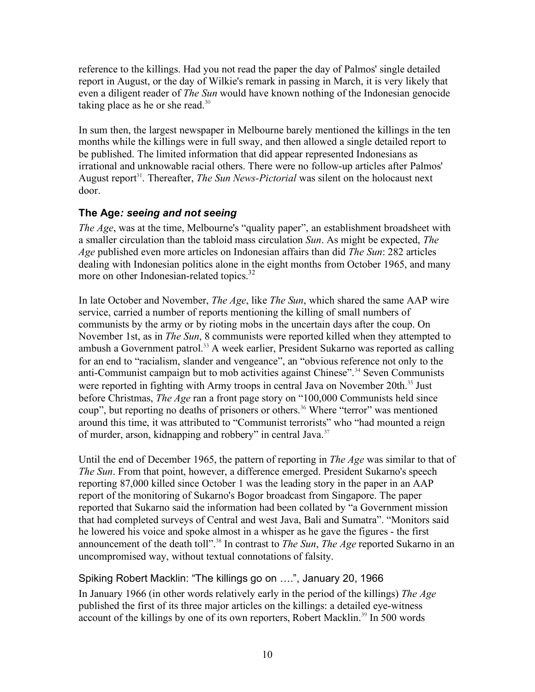reference to the killings. Had you not read the paper the day of Palmos' single detailed report in August, or the day of Wilkie's remark in passing in March, it is very likely that even a diligent reader of *The Sun* would have known nothing of the Indonesian genocide taking place as he or she read.<sup>30</sup>

In sum then, the largest newspaper in Melbourne barely mentioned the killings in the ten months while the killings were in full sway, and then allowed a single detailed report to be published. The limited information that did appear represented Indonesians as irrational and unknowable racial others. There were no follow-up articles after Palmos' August report<sup>31</sup>. Thereafter, *The Sun News-Pictorial* was silent on the holocaust next door.

# **The Age***: seeing and not seeing*

*The Age*, was at the time, Melbourne's "quality paper", an establishment broadsheet with a smaller circulation than the tabloid mass circulation *Sun*. As might be expected, *The Age* published even more articles on Indonesian affairs than did *The Sun*: 282 articles dealing with Indonesian politics alone in the eight months from October 1965, and many more on other Indonesian-related topics.<sup>32</sup>

In late October and November, *The Age*, like *The Sun*, which shared the same AAP wire service, carried a number of reports mentioning the killing of small numbers of communists by the army or by rioting mobs in the uncertain days after the coup. On November 1st, as in *The Sun*, 8 communists were reported killed when they attempted to ambush a Government patrol.<sup>33</sup> A week earlier, President Sukarno was reported as calling for an end to "racialism, slander and vengeance", an "obvious reference not only to the anti-Communist campaign but to mob activities against Chinese".<sup>34</sup> Seven Communists were reported in fighting with Army troops in central Java on November 20th.<sup>35</sup> Just before Christmas, *The Age* ran a front page story on "100,000 Communists held since coup", but reporting no deaths of prisoners or others.<sup>36</sup> Where "terror" was mentioned around this time, it was attributed to "Communist terrorists" who "had mounted a reign of murder, arson, kidnapping and robbery" in central Java. $37$ 

Until the end of December 1965, the pattern of reporting in *The Age* was similar to that of *The Sun*. From that point, however, a difference emerged. President Sukarno's speech reporting 87,000 killed since October 1 was the leading story in the paper in an AAP report of the monitoring of Sukarno's Bogor broadcast from Singapore. The paper reported that Sukarno said the information had been collated by "a Government mission that had completed surveys of Central and west Java, Bali and Sumatra". "Monitors said he lowered his voice and spoke almost in a whisper as he gave the figures - the first announcement of the death toll".<sup>38</sup> In contrast to *The Sun, The Age* reported Sukarno in an uncompromised way, without textual connotations of falsity.

## Spiking Robert Macklin: "The killings go on ….", January 20, 1966

In January 1966 (in other words relatively early in the period of the killings) *The Age* published the first of its three major articles on the killings: a detailed eye-witness account of the killings by one of its own reporters, Robert Macklin.<sup>39</sup> In 500 words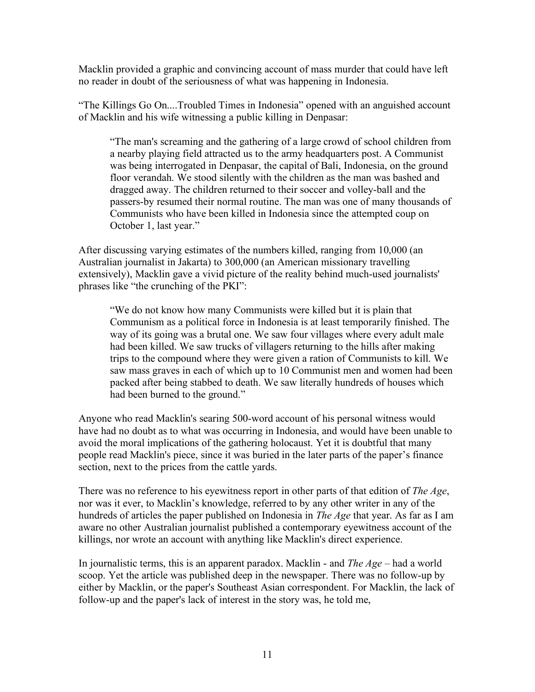Macklin provided a graphic and convincing account of mass murder that could have left no reader in doubt of the seriousness of what was happening in Indonesia.

"The Killings Go On....Troubled Times in Indonesia" opened with an anguished account of Macklin and his wife witnessing a public killing in Denpasar:

"The man's screaming and the gathering of a large crowd of school children from a nearby playing field attracted us to the army headquarters post. A Communist was being interrogated in Denpasar, the capital of Bali, Indonesia, on the ground floor verandah. We stood silently with the children as the man was bashed and dragged away. The children returned to their soccer and volley-ball and the passers-by resumed their normal routine. The man was one of many thousands of Communists who have been killed in Indonesia since the attempted coup on October 1, last year."

After discussing varying estimates of the numbers killed, ranging from 10,000 (an Australian journalist in Jakarta) to 300,000 (an American missionary travelling extensively), Macklin gave a vivid picture of the reality behind much-used journalists' phrases like "the crunching of the PKI":

"We do not know how many Communists were killed but it is plain that Communism as a political force in Indonesia is at least temporarily finished. The way of its going was a brutal one. We saw four villages where every adult male had been killed. We saw trucks of villagers returning to the hills after making trips to the compound where they were given a ration of Communists to kill. We saw mass graves in each of which up to 10 Communist men and women had been packed after being stabbed to death. We saw literally hundreds of houses which had been burned to the ground."

Anyone who read Macklin's searing 500-word account of his personal witness would have had no doubt as to what was occurring in Indonesia, and would have been unable to avoid the moral implications of the gathering holocaust. Yet it is doubtful that many people read Macklin's piece, since it was buried in the later parts of the paper's finance section, next to the prices from the cattle yards.

There was no reference to his eyewitness report in other parts of that edition of *The Age*, nor was it ever, to Macklin's knowledge, referred to by any other writer in any of the hundreds of articles the paper published on Indonesia in *The Age* that year. As far as I am aware no other Australian journalist published a contemporary eyewitness account of the killings, nor wrote an account with anything like Macklin's direct experience.

In journalistic terms, this is an apparent paradox. Macklin - and *The Age* – had a world scoop. Yet the article was published deep in the newspaper. There was no follow-up by either by Macklin, or the paper's Southeast Asian correspondent. For Macklin, the lack of follow-up and the paper's lack of interest in the story was, he told me,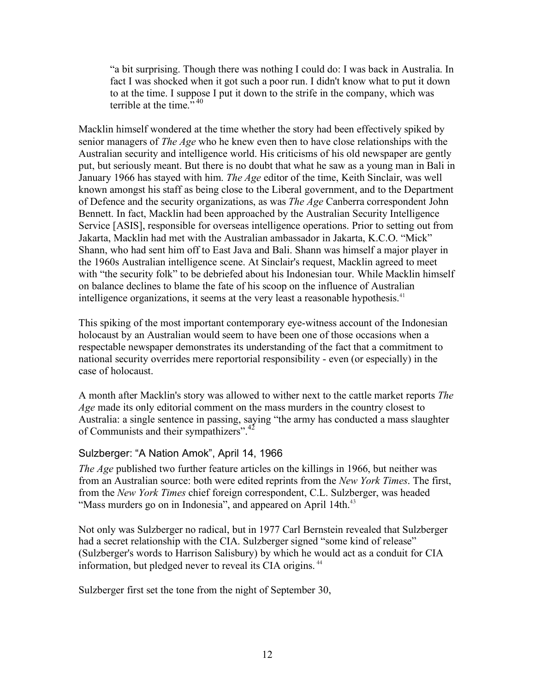"a bit surprising. Though there was nothing I could do: I was back in Australia. In fact I was shocked when it got such a poor run. I didn't know what to put it down to at the time. I suppose I put it down to the strife in the company, which was terrible at the time."<sup>40</sup>

Macklin himself wondered at the time whether the story had been effectively spiked by senior managers of *The Age* who he knew even then to have close relationships with the Australian security and intelligence world. His criticisms of his old newspaper are gently put, but seriously meant. But there is no doubt that what he saw as a young man in Bali in January 1966 has stayed with him. *The Age* editor of the time, Keith Sinclair, was well known amongst his staff as being close to the Liberal government, and to the Department of Defence and the security organizations, as was *The Age* Canberra correspondent John Bennett. In fact, Macklin had been approached by the Australian Security Intelligence Service [ASIS], responsible for overseas intelligence operations. Prior to setting out from Jakarta, Macklin had met with the Australian ambassador in Jakarta, K.C.O. "Mick" Shann, who had sent him off to East Java and Bali. Shann was himself a major player in the 1960s Australian intelligence scene. At Sinclair's request, Macklin agreed to meet with "the security folk" to be debriefed about his Indonesian tour. While Macklin himself on balance declines to blame the fate of his scoop on the influence of Australian intelligence organizations, it seems at the very least a reasonable hypothesis.<sup>41</sup>

This spiking of the most important contemporary eye-witness account of the Indonesian holocaust by an Australian would seem to have been one of those occasions when a respectable newspaper demonstrates its understanding of the fact that a commitment to national security overrides mere reportorial responsibility - even (or especially) in the case of holocaust.

A month after Macklin's story was allowed to wither next to the cattle market reports *The Age* made its only editorial comment on the mass murders in the country closest to Australia: a single sentence in passing, saying "the army has conducted a mass slaughter of Communists and their sympathizers".<sup>42</sup>

#### Sulzberger: "A Nation Amok", April 14, 1966

*The Age* published two further feature articles on the killings in 1966, but neither was from an Australian source: both were edited reprints from the *New York Times*. The first, from the *New York Times* chief foreign correspondent, C.L. Sulzberger, was headed "Mass murders go on in Indonesia", and appeared on April 14th.<sup>43</sup>

Not only was Sulzberger no radical, but in 1977 Carl Bernstein revealed that Sulzberger had a secret relationship with the CIA. Sulzberger signed "some kind of release" (Sulzberger's words to Harrison Salisbury) by which he would act as a conduit for CIA information, but pledged never to reveal its CIA origins.<sup>44</sup>

Sulzberger first set the tone from the night of September 30,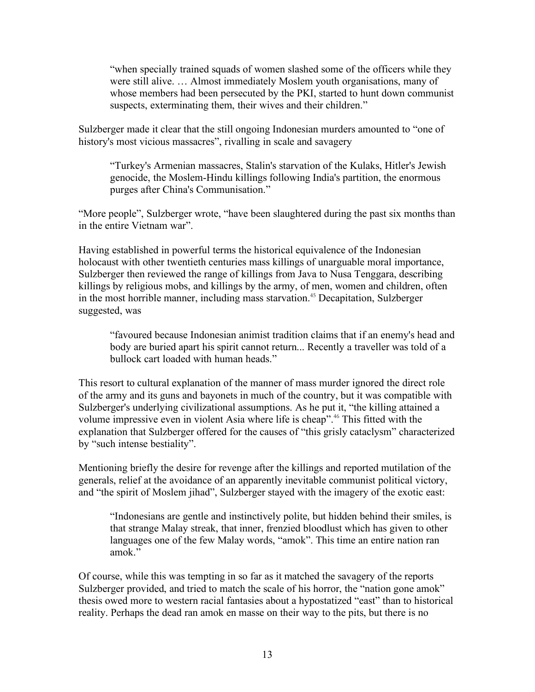"when specially trained squads of women slashed some of the officers while they were still alive. … Almost immediately Moslem youth organisations, many of whose members had been persecuted by the PKI, started to hunt down communist suspects, exterminating them, their wives and their children."

Sulzberger made it clear that the still ongoing Indonesian murders amounted to "one of history's most vicious massacres", rivalling in scale and savagery

"Turkey's Armenian massacres, Stalin's starvation of the Kulaks, Hitler's Jewish genocide, the Moslem-Hindu killings following India's partition, the enormous purges after China's Communisation."

"More people", Sulzberger wrote, "have been slaughtered during the past six months than in the entire Vietnam war".

Having established in powerful terms the historical equivalence of the Indonesian holocaust with other twentieth centuries mass killings of unarguable moral importance, Sulzberger then reviewed the range of killings from Java to Nusa Tenggara, describing killings by religious mobs, and killings by the army, of men, women and children, often in the most horrible manner, including mass starvation.<sup>45</sup> Decapitation, Sulzberger suggested, was

"favoured because Indonesian animist tradition claims that if an enemy's head and body are buried apart his spirit cannot return... Recently a traveller was told of a bullock cart loaded with human heads."

This resort to cultural explanation of the manner of mass murder ignored the direct role of the army and its guns and bayonets in much of the country, but it was compatible with Sulzberger's underlying civilizational assumptions. As he put it, "the killing attained a volume impressive even in violent Asia where life is cheap".<sup>46</sup> This fitted with the explanation that Sulzberger offered for the causes of "this grisly cataclysm" characterized by "such intense bestiality".

Mentioning briefly the desire for revenge after the killings and reported mutilation of the generals, relief at the avoidance of an apparently inevitable communist political victory, and "the spirit of Moslem jihad", Sulzberger stayed with the imagery of the exotic east:

"Indonesians are gentle and instinctively polite, but hidden behind their smiles, is that strange Malay streak, that inner, frenzied bloodlust which has given to other languages one of the few Malay words, "amok". This time an entire nation ran amok."

Of course, while this was tempting in so far as it matched the savagery of the reports Sulzberger provided, and tried to match the scale of his horror, the "nation gone amok" thesis owed more to western racial fantasies about a hypostatized "east" than to historical reality. Perhaps the dead ran amok en masse on their way to the pits, but there is no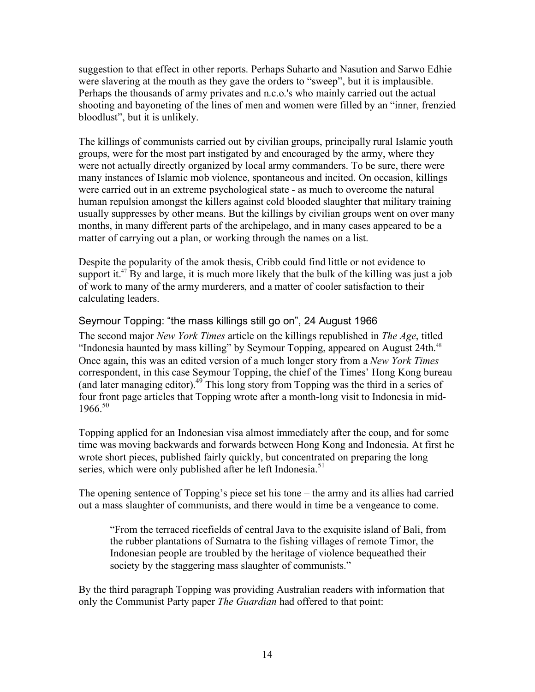suggestion to that effect in other reports. Perhaps Suharto and Nasution and Sarwo Edhie were slavering at the mouth as they gave the orders to "sweep", but it is implausible. Perhaps the thousands of army privates and n.c.o.'s who mainly carried out the actual shooting and bayoneting of the lines of men and women were filled by an "inner, frenzied bloodlust", but it is unlikely.

The killings of communists carried out by civilian groups, principally rural Islamic youth groups, were for the most part instigated by and encouraged by the army, where they were not actually directly organized by local army commanders. To be sure, there were many instances of Islamic mob violence, spontaneous and incited. On occasion, killings were carried out in an extreme psychological state - as much to overcome the natural human repulsion amongst the killers against cold blooded slaughter that military training usually suppresses by other means. But the killings by civilian groups went on over many months, in many different parts of the archipelago, and in many cases appeared to be a matter of carrying out a plan, or working through the names on a list.

Despite the popularity of the amok thesis, Cribb could find little or not evidence to support it.<sup>47</sup> By and large, it is much more likely that the bulk of the killing was just a job of work to many of the army murderers, and a matter of cooler satisfaction to their calculating leaders.

### Seymour Topping: "the mass killings still go on", 24 August 1966

The second major *New York Times* article on the killings republished in *The Age*, titled "Indonesia haunted by mass killing" by Seymour Topping, appeared on August 24th.<sup>48</sup> Once again, this was an edited version of a much longer story from a *New York Times* correspondent, in this case Seymour Topping, the chief of the Times' Hong Kong bureau (and later managing editor).<sup>49</sup> This long story from Topping was the third in a series of four front page articles that Topping wrote after a month-long visit to Indonesia in mid- $1966^{50}$ 

Topping applied for an Indonesian visa almost immediately after the coup, and for some time was moving backwards and forwards between Hong Kong and Indonesia. At first he wrote short pieces, published fairly quickly, but concentrated on preparing the long series, which were only published after he left Indonesia.<sup>51</sup>

The opening sentence of Topping's piece set his tone – the army and its allies had carried out a mass slaughter of communists, and there would in time be a vengeance to come.

"From the terraced ricefields of central Java to the exquisite island of Bali, from the rubber plantations of Sumatra to the fishing villages of remote Timor, the Indonesian people are troubled by the heritage of violence bequeathed their society by the staggering mass slaughter of communists."

By the third paragraph Topping was providing Australian readers with information that only the Communist Party paper *The Guardian* had offered to that point: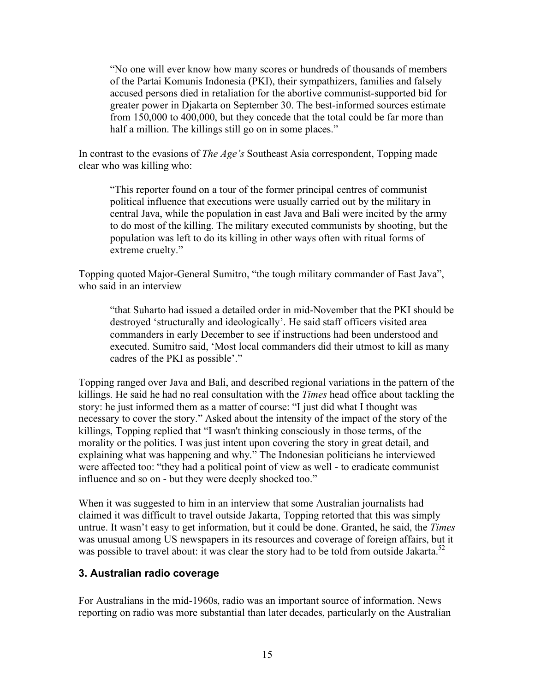"No one will ever know how many scores or hundreds of thousands of members of the Partai Komunis Indonesia (PKI), their sympathizers, families and falsely accused persons died in retaliation for the abortive communist-supported bid for greater power in Djakarta on September 30. The best-informed sources estimate from 150,000 to 400,000, but they concede that the total could be far more than half a million. The killings still go on in some places."

In contrast to the evasions of *The Age's* Southeast Asia correspondent, Topping made clear who was killing who:

"This reporter found on a tour of the former principal centres of communist political influence that executions were usually carried out by the military in central Java, while the population in east Java and Bali were incited by the army to do most of the killing. The military executed communists by shooting, but the population was left to do its killing in other ways often with ritual forms of extreme cruelty."

Topping quoted Major-General Sumitro, "the tough military commander of East Java", who said in an interview

"that Suharto had issued a detailed order in mid-November that the PKI should be destroyed 'structurally and ideologically'. He said staff officers visited area commanders in early December to see if instructions had been understood and executed. Sumitro said, 'Most local commanders did their utmost to kill as many cadres of the PKI as possible'."

Topping ranged over Java and Bali, and described regional variations in the pattern of the killings. He said he had no real consultation with the *Times* head office about tackling the story: he just informed them as a matter of course: "I just did what I thought was necessary to cover the story." Asked about the intensity of the impact of the story of the killings, Topping replied that "I wasn't thinking consciously in those terms, of the morality or the politics. I was just intent upon covering the story in great detail, and explaining what was happening and why." The Indonesian politicians he interviewed were affected too: "they had a political point of view as well - to eradicate communist influence and so on - but they were deeply shocked too."

When it was suggested to him in an interview that some Australian journalists had claimed it was difficult to travel outside Jakarta, Topping retorted that this was simply untrue. It wasn't easy to get information, but it could be done. Granted, he said, the *Times* was unusual among US newspapers in its resources and coverage of foreign affairs, but it was possible to travel about: it was clear the story had to be told from outside Jakarta.<sup>52</sup>

### **3. Australian radio coverage**

For Australians in the mid-1960s, radio was an important source of information. News reporting on radio was more substantial than later decades, particularly on the Australian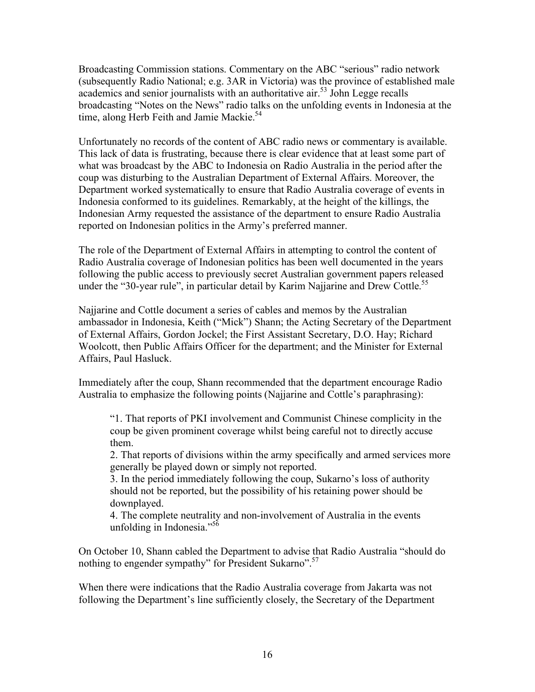Broadcasting Commission stations. Commentary on the ABC "serious" radio network (subsequently Radio National; e.g. 3AR in Victoria) was the province of established male academics and senior journalists with an authoritative air.<sup>53</sup> John Legge recalls broadcasting "Notes on the News" radio talks on the unfolding events in Indonesia at the time, along Herb Feith and Jamie Mackie.<sup>54</sup>

Unfortunately no records of the content of ABC radio news or commentary is available. This lack of data is frustrating, because there is clear evidence that at least some part of what was broadcast by the ABC to Indonesia on Radio Australia in the period after the coup was disturbing to the Australian Department of External Affairs. Moreover, the Department worked systematically to ensure that Radio Australia coverage of events in Indonesia conformed to its guidelines. Remarkably, at the height of the killings, the Indonesian Army requested the assistance of the department to ensure Radio Australia reported on Indonesian politics in the Army's preferred manner.

The role of the Department of External Affairs in attempting to control the content of Radio Australia coverage of Indonesian politics has been well documented in the years following the public access to previously secret Australian government papers released under the "30-year rule", in particular detail by Karim Najjarine and Drew Cottle.<sup>55</sup>

Najjarine and Cottle document a series of cables and memos by the Australian ambassador in Indonesia, Keith ("Mick") Shann; the Acting Secretary of the Department of External Affairs, Gordon Jockel; the First Assistant Secretary, D.O. Hay; Richard Woolcott, then Public Affairs Officer for the department; and the Minister for External Affairs, Paul Hasluck.

Immediately after the coup, Shann recommended that the department encourage Radio Australia to emphasize the following points (Najjarine and Cottle's paraphrasing):

"1. That reports of PKI involvement and Communist Chinese complicity in the coup be given prominent coverage whilst being careful not to directly accuse them.

2. That reports of divisions within the army specifically and armed services more generally be played down or simply not reported.

3. In the period immediately following the coup, Sukarno's loss of authority should not be reported, but the possibility of his retaining power should be downplayed.

4. The complete neutrality and non-involvement of Australia in the events unfolding in Indonesia." $56$ 

On October 10, Shann cabled the Department to advise that Radio Australia "should do nothing to engender sympathy" for President Sukarno".57

When there were indications that the Radio Australia coverage from Jakarta was not following the Department's line sufficiently closely, the Secretary of the Department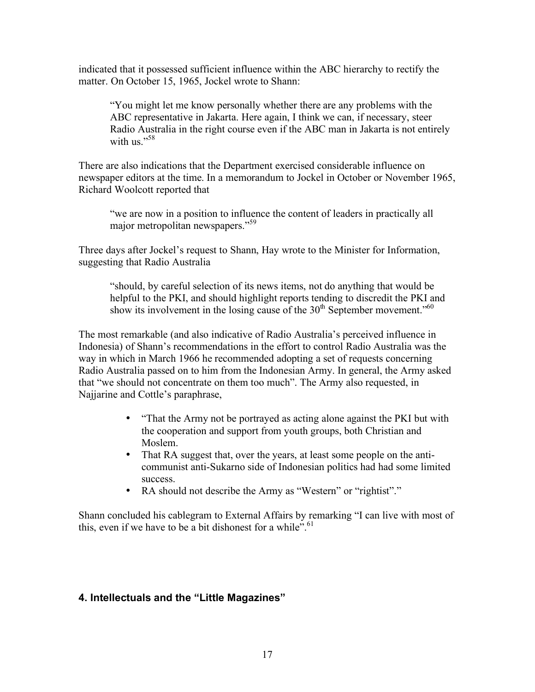indicated that it possessed sufficient influence within the ABC hierarchy to rectify the matter. On October 15, 1965, Jockel wrote to Shann:

"You might let me know personally whether there are any problems with the ABC representative in Jakarta. Here again, I think we can, if necessary, steer Radio Australia in the right course even if the ABC man in Jakarta is not entirely with us $^{558}$ 

There are also indications that the Department exercised considerable influence on newspaper editors at the time. In a memorandum to Jockel in October or November 1965, Richard Woolcott reported that

"we are now in a position to influence the content of leaders in practically all major metropolitan newspapers."<sup>59</sup>

Three days after Jockel's request to Shann, Hay wrote to the Minister for Information, suggesting that Radio Australia

"should, by careful selection of its news items, not do anything that would be helpful to the PKI, and should highlight reports tending to discredit the PKI and show its involvement in the losing cause of the  $30<sup>th</sup>$  September movement.<sup> $50<sup>60</sup>$ </sup>

The most remarkable (and also indicative of Radio Australia's perceived influence in Indonesia) of Shann's recommendations in the effort to control Radio Australia was the way in which in March 1966 he recommended adopting a set of requests concerning Radio Australia passed on to him from the Indonesian Army. In general, the Army asked that "we should not concentrate on them too much". The Army also requested, in Najjarine and Cottle's paraphrase,

- "That the Army not be portrayed as acting alone against the PKI but with the cooperation and support from youth groups, both Christian and Moslem.
- That RA suggest that, over the years, at least some people on the anticommunist anti-Sukarno side of Indonesian politics had had some limited success.
- RA should not describe the Army as "Western" or "rightist"."

Shann concluded his cablegram to External Affairs by remarking "I can live with most of this, even if we have to be a bit dishonest for a while".<sup>61</sup>

### **4. Intellectuals and the "Little Magazines"**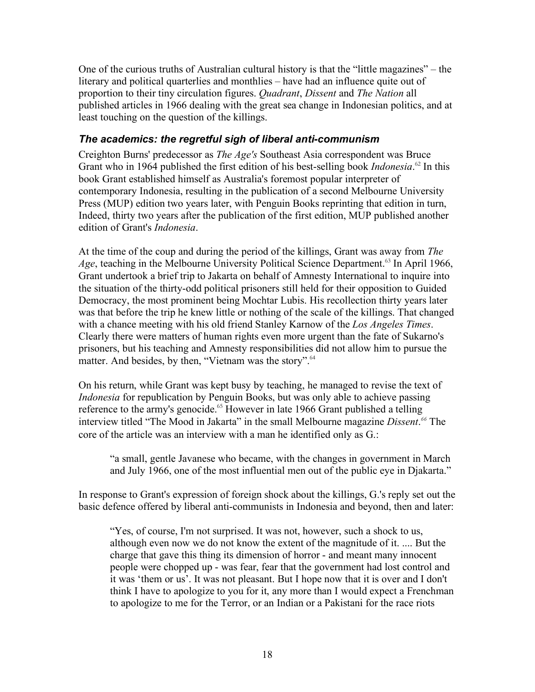One of the curious truths of Australian cultural history is that the "little magazines" – the literary and political quarterlies and monthlies – have had an influence quite out of proportion to their tiny circulation figures. *Quadrant*, *Dissent* and *The Nation* all published articles in 1966 dealing with the great sea change in Indonesian politics, and at least touching on the question of the killings.

## *The academics: the regretful sigh of liberal anti-communism*

Creighton Burns' predecessor as *The Age's* Southeast Asia correspondent was Bruce Grant who in 1964 published the first edition of his best-selling book *Indonesia*. <sup>62</sup> In this book Grant established himself as Australia's foremost popular interpreter of contemporary Indonesia, resulting in the publication of a second Melbourne University Press (MUP) edition two years later, with Penguin Books reprinting that edition in turn, Indeed, thirty two years after the publication of the first edition, MUP published another edition of Grant's *Indonesia*.

At the time of the coup and during the period of the killings, Grant was away from *The Age*, teaching in the Melbourne University Political Science Department.<sup>63</sup> In April 1966, Grant undertook a brief trip to Jakarta on behalf of Amnesty International to inquire into the situation of the thirty-odd political prisoners still held for their opposition to Guided Democracy, the most prominent being Mochtar Lubis. His recollection thirty years later was that before the trip he knew little or nothing of the scale of the killings. That changed with a chance meeting with his old friend Stanley Karnow of the *Los Angeles Times*. Clearly there were matters of human rights even more urgent than the fate of Sukarno's prisoners, but his teaching and Amnesty responsibilities did not allow him to pursue the matter. And besides, by then, "Vietnam was the story".<sup>64</sup>

On his return, while Grant was kept busy by teaching, he managed to revise the text of *Indonesia* for republication by Penguin Books, but was only able to achieve passing reference to the army's genocide.<sup>65</sup> However in late 1966 Grant published a telling interview titled "The Mood in Jakarta" in the small Melbourne magazine *Dissent*. *<sup>66</sup>* The core of the article was an interview with a man he identified only as G.:

"a small, gentle Javanese who became, with the changes in government in March and July 1966, one of the most influential men out of the public eye in Djakarta."

In response to Grant's expression of foreign shock about the killings, G.'s reply set out the basic defence offered by liberal anti-communists in Indonesia and beyond, then and later:

"Yes, of course, I'm not surprised. It was not, however, such a shock to us, although even now we do not know the extent of the magnitude of it. .... But the charge that gave this thing its dimension of horror - and meant many innocent people were chopped up - was fear, fear that the government had lost control and it was 'them or us'. It was not pleasant. But I hope now that it is over and I don't think I have to apologize to you for it, any more than I would expect a Frenchman to apologize to me for the Terror, or an Indian or a Pakistani for the race riots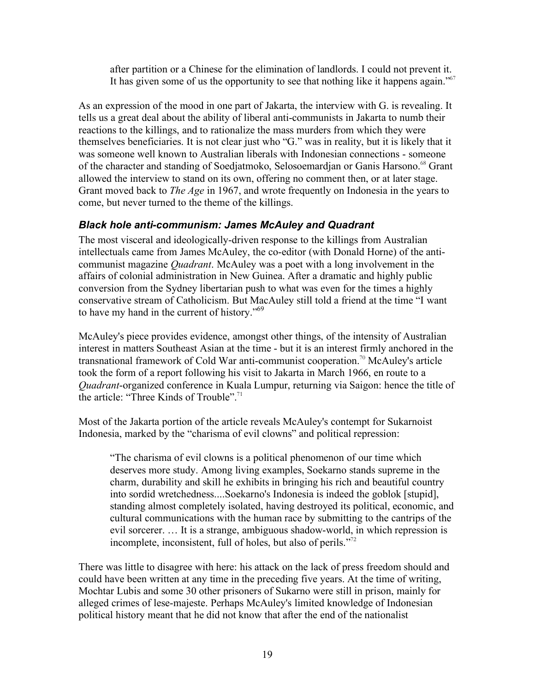after partition or a Chinese for the elimination of landlords. I could not prevent it. It has given some of us the opportunity to see that nothing like it happens again." $67$ 

As an expression of the mood in one part of Jakarta, the interview with G. is revealing. It tells us a great deal about the ability of liberal anti-communists in Jakarta to numb their reactions to the killings, and to rationalize the mass murders from which they were themselves beneficiaries. It is not clear just who "G." was in reality, but it is likely that it was someone well known to Australian liberals with Indonesian connections - someone of the character and standing of Soedjatmoko, Selosoemardjan or Ganis Harsono.<sup>68</sup> Grant allowed the interview to stand on its own, offering no comment then, or at later stage. Grant moved back to *The Age* in 1967, and wrote frequently on Indonesia in the years to come, but never turned to the theme of the killings.

### *Black hole anti-communism: James McAuley and Quadrant*

The most visceral and ideologically-driven response to the killings from Australian intellectuals came from James McAuley, the co-editor (with Donald Horne) of the anticommunist magazine *Quadrant*. McAuley was a poet with a long involvement in the affairs of colonial administration in New Guinea. After a dramatic and highly public conversion from the Sydney libertarian push to what was even for the times a highly conservative stream of Catholicism. But MacAuley still told a friend at the time "I want to have my hand in the current of history."<sup>69</sup>

McAuley's piece provides evidence, amongst other things, of the intensity of Australian interest in matters Southeast Asian at the time - but it is an interest firmly anchored in the transnational framework of Cold War anti-communist cooperation.<sup>70</sup> McAuley's article took the form of a report following his visit to Jakarta in March 1966, en route to a *Quadrant*-organized conference in Kuala Lumpur, returning via Saigon: hence the title of the article: "Three Kinds of Trouble".<sup>71</sup>

Most of the Jakarta portion of the article reveals McAuley's contempt for Sukarnoist Indonesia, marked by the "charisma of evil clowns" and political repression:

"The charisma of evil clowns is a political phenomenon of our time which deserves more study. Among living examples, Soekarno stands supreme in the charm, durability and skill he exhibits in bringing his rich and beautiful country into sordid wretchedness....Soekarno's Indonesia is indeed the goblok [stupid], standing almost completely isolated, having destroyed its political, economic, and cultural communications with the human race by submitting to the cantrips of the evil sorcerer. … It is a strange, ambiguous shadow-world, in which repression is incomplete, inconsistent, full of holes, but also of perils."<sup>72</sup>

There was little to disagree with here: his attack on the lack of press freedom should and could have been written at any time in the preceding five years. At the time of writing, Mochtar Lubis and some 30 other prisoners of Sukarno were still in prison, mainly for alleged crimes of lese-majeste. Perhaps McAuley's limited knowledge of Indonesian political history meant that he did not know that after the end of the nationalist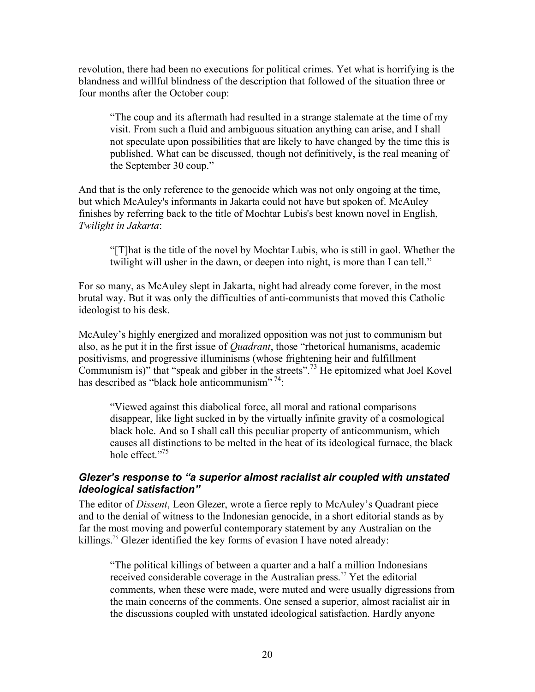revolution, there had been no executions for political crimes. Yet what is horrifying is the blandness and willful blindness of the description that followed of the situation three or four months after the October coup:

"The coup and its aftermath had resulted in a strange stalemate at the time of my visit. From such a fluid and ambiguous situation anything can arise, and I shall not speculate upon possibilities that are likely to have changed by the time this is published. What can be discussed, though not definitively, is the real meaning of the September 30 coup."

And that is the only reference to the genocide which was not only ongoing at the time, but which McAuley's informants in Jakarta could not have but spoken of. McAuley finishes by referring back to the title of Mochtar Lubis's best known novel in English, *Twilight in Jakarta*:

"[T]hat is the title of the novel by Mochtar Lubis, who is still in gaol. Whether the twilight will usher in the dawn, or deepen into night, is more than I can tell."

For so many, as McAuley slept in Jakarta, night had already come forever, in the most brutal way. But it was only the difficulties of anti-communists that moved this Catholic ideologist to his desk.

McAuley's highly energized and moralized opposition was not just to communism but also, as he put it in the first issue of *Quadrant*, those "rhetorical humanisms, academic positivisms, and progressive illuminisms (whose frightening heir and fulfillment Communism is)" that "speak and gibber in the streets".73 He epitomized what Joel Kovel has described as "black hole anticommunism"<sup>74</sup>:

"Viewed against this diabolical force, all moral and rational comparisons disappear, like light sucked in by the virtually infinite gravity of a cosmological black hole. And so I shall call this peculiar property of anticommunism, which causes all distinctions to be melted in the heat of its ideological furnace, the black hole effect."<sup>75</sup>

#### *Glezer's response to "a superior almost racialist air coupled with unstated ideological satisfaction"*

The editor of *Dissent*, Leon Glezer, wrote a fierce reply to McAuley's Quadrant piece and to the denial of witness to the Indonesian genocide, in a short editorial stands as by far the most moving and powerful contemporary statement by any Australian on the killings.<sup>76</sup> Glezer identified the key forms of evasion I have noted already:

"The political killings of between a quarter and a half a million Indonesians received considerable coverage in the Australian press.<sup>77</sup> Yet the editorial comments, when these were made, were muted and were usually digressions from the main concerns of the comments. One sensed a superior, almost racialist air in the discussions coupled with unstated ideological satisfaction. Hardly anyone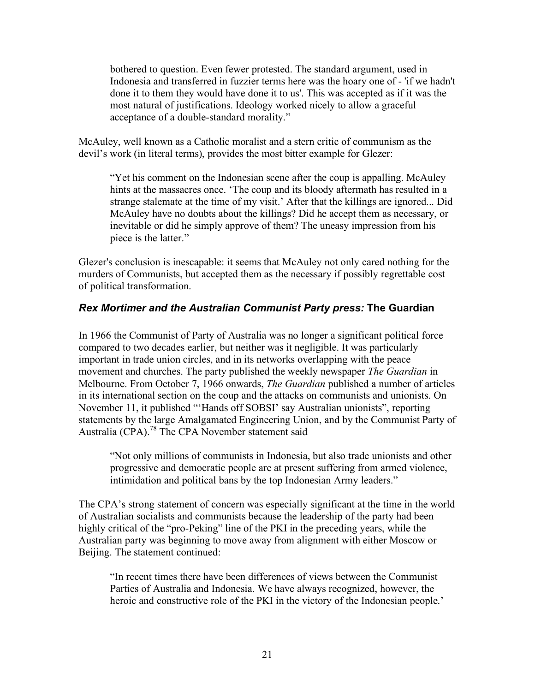bothered to question. Even fewer protested. The standard argument, used in Indonesia and transferred in fuzzier terms here was the hoary one of - 'if we hadn't done it to them they would have done it to us'. This was accepted as if it was the most natural of justifications. Ideology worked nicely to allow a graceful acceptance of a double-standard morality."

McAuley, well known as a Catholic moralist and a stern critic of communism as the devil's work (in literal terms), provides the most bitter example for Glezer:

"Yet his comment on the Indonesian scene after the coup is appalling. McAuley hints at the massacres once. 'The coup and its bloody aftermath has resulted in a strange stalemate at the time of my visit.' After that the killings are ignored... Did McAuley have no doubts about the killings? Did he accept them as necessary, or inevitable or did he simply approve of them? The uneasy impression from his piece is the latter."

Glezer's conclusion is inescapable: it seems that McAuley not only cared nothing for the murders of Communists, but accepted them as the necessary if possibly regrettable cost of political transformation.

#### *Rex Mortimer and the Australian Communist Party press:* **The Guardian**

In 1966 the Communist of Party of Australia was no longer a significant political force compared to two decades earlier, but neither was it negligible. It was particularly important in trade union circles, and in its networks overlapping with the peace movement and churches. The party published the weekly newspaper *The Guardian* in Melbourne. From October 7, 1966 onwards, *The Guardian* published a number of articles in its international section on the coup and the attacks on communists and unionists. On November 11, it published "'Hands off SOBSI' say Australian unionists", reporting statements by the large Amalgamated Engineering Union, and by the Communist Party of Australia (CPA). 78 The CPA November statement said

"Not only millions of communists in Indonesia, but also trade unionists and other progressive and democratic people are at present suffering from armed violence, intimidation and political bans by the top Indonesian Army leaders."

The CPA's strong statement of concern was especially significant at the time in the world of Australian socialists and communists because the leadership of the party had been highly critical of the "pro-Peking" line of the PKI in the preceding years, while the Australian party was beginning to move away from alignment with either Moscow or Beijing. The statement continued:

"In recent times there have been differences of views between the Communist Parties of Australia and Indonesia. We have always recognized, however, the heroic and constructive role of the PKI in the victory of the Indonesian people.'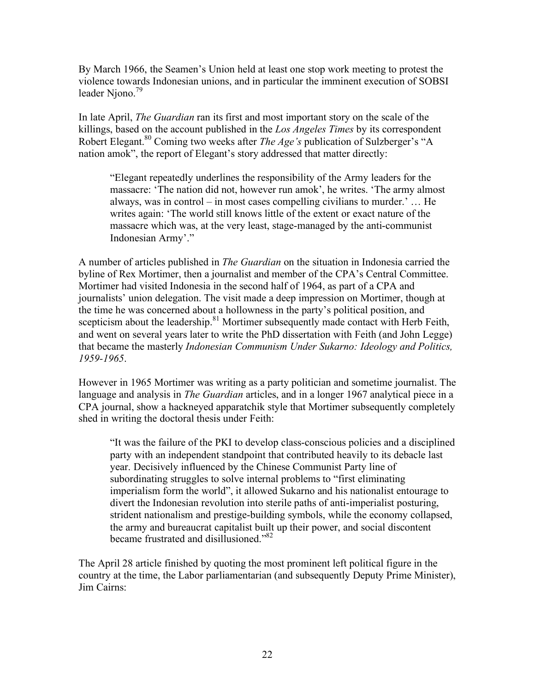By March 1966, the Seamen's Union held at least one stop work meeting to protest the violence towards Indonesian unions, and in particular the imminent execution of SOBSI leader Niono.<sup>79</sup>

In late April, *The Guardian* ran its first and most important story on the scale of the killings, based on the account published in the *Los Angeles Times* by its correspondent Robert Elegant.<sup>80</sup> Coming two weeks after *The Age's* publication of Sulzberger's "A nation amok", the report of Elegant's story addressed that matter directly:

"Elegant repeatedly underlines the responsibility of the Army leaders for the massacre: 'The nation did not, however run amok', he writes. 'The army almost always, was in control – in most cases compelling civilians to murder.' … He writes again: 'The world still knows little of the extent or exact nature of the massacre which was, at the very least, stage-managed by the anti-communist Indonesian Army'."

A number of articles published in *The Guardian* on the situation in Indonesia carried the byline of Rex Mortimer, then a journalist and member of the CPA's Central Committee. Mortimer had visited Indonesia in the second half of 1964, as part of a CPA and journalists' union delegation. The visit made a deep impression on Mortimer, though at the time he was concerned about a hollowness in the party's political position, and scepticism about the leadership.<sup>81</sup> Mortimer subsequently made contact with Herb Feith, and went on several years later to write the PhD dissertation with Feith (and John Legge) that became the masterly *Indonesian Communism Under Sukarno: Ideology and Politics, 1959-1965*.

However in 1965 Mortimer was writing as a party politician and sometime journalist. The language and analysis in *The Guardian* articles, and in a longer 1967 analytical piece in a CPA journal, show a hackneyed apparatchik style that Mortimer subsequently completely shed in writing the doctoral thesis under Feith:

"It was the failure of the PKI to develop class-conscious policies and a disciplined party with an independent standpoint that contributed heavily to its debacle last year. Decisively influenced by the Chinese Communist Party line of subordinating struggles to solve internal problems to "first eliminating imperialism form the world", it allowed Sukarno and his nationalist entourage to divert the Indonesian revolution into sterile paths of anti-imperialist posturing, strident nationalism and prestige-building symbols, while the economy collapsed, the army and bureaucrat capitalist built up their power, and social discontent became frustrated and disillusioned."<sup>82</sup>

The April 28 article finished by quoting the most prominent left political figure in the country at the time, the Labor parliamentarian (and subsequently Deputy Prime Minister), Jim Cairns: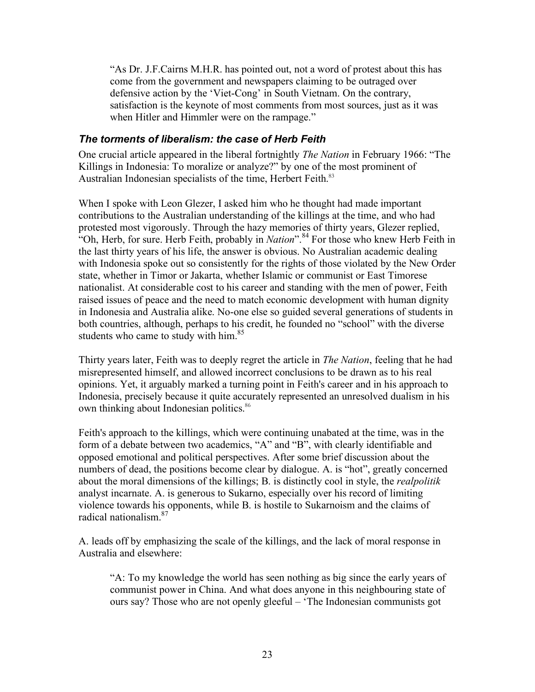"As Dr. J.F.Cairns M.H.R. has pointed out, not a word of protest about this has come from the government and newspapers claiming to be outraged over defensive action by the 'Viet-Cong' in South Vietnam. On the contrary, satisfaction is the keynote of most comments from most sources, just as it was when Hitler and Himmler were on the rampage."

### *The torments of liberalism: the case of Herb Feith*

One crucial article appeared in the liberal fortnightly *The Nation* in February 1966: "The Killings in Indonesia: To moralize or analyze?" by one of the most prominent of Australian Indonesian specialists of the time, Herbert Feith.<sup>83</sup>

When I spoke with Leon Glezer, I asked him who he thought had made important contributions to the Australian understanding of the killings at the time, and who had protested most vigorously. Through the hazy memories of thirty years, Glezer replied, "Oh, Herb, for sure. Herb Feith, probably in *Nation*".<sup>84</sup> For those who knew Herb Feith in the last thirty years of his life, the answer is obvious. No Australian academic dealing with Indonesia spoke out so consistently for the rights of those violated by the New Order state, whether in Timor or Jakarta, whether Islamic or communist or East Timorese nationalist. At considerable cost to his career and standing with the men of power, Feith raised issues of peace and the need to match economic development with human dignity in Indonesia and Australia alike. No-one else so guided several generations of students in both countries, although, perhaps to his credit, he founded no "school" with the diverse students who came to study with him. $85$ 

Thirty years later, Feith was to deeply regret the article in *The Nation*, feeling that he had misrepresented himself, and allowed incorrect conclusions to be drawn as to his real opinions. Yet, it arguably marked a turning point in Feith's career and in his approach to Indonesia, precisely because it quite accurately represented an unresolved dualism in his own thinking about Indonesian politics.<sup>86</sup>

Feith's approach to the killings, which were continuing unabated at the time, was in the form of a debate between two academics, "A" and "B", with clearly identifiable and opposed emotional and political perspectives. After some brief discussion about the numbers of dead, the positions become clear by dialogue. A. is "hot", greatly concerned about the moral dimensions of the killings; B. is distinctly cool in style, the *realpolitik* analyst incarnate. A. is generous to Sukarno, especially over his record of limiting violence towards his opponents, while B. is hostile to Sukarnoism and the claims of radical nationalism.87

A. leads off by emphasizing the scale of the killings, and the lack of moral response in Australia and elsewhere:

"A: To my knowledge the world has seen nothing as big since the early years of communist power in China. And what does anyone in this neighbouring state of ours say? Those who are not openly gleeful – 'The Indonesian communists got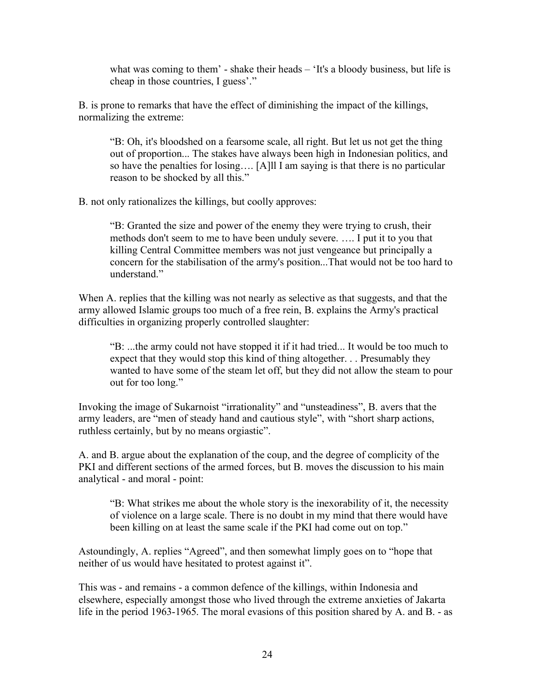what was coming to them' - shake their heads – 'It's a bloody business, but life is cheap in those countries, I guess'."

B. is prone to remarks that have the effect of diminishing the impact of the killings, normalizing the extreme:

"B: Oh, it's bloodshed on a fearsome scale, all right. But let us not get the thing out of proportion... The stakes have always been high in Indonesian politics, and so have the penalties for losing…. [A]ll I am saying is that there is no particular reason to be shocked by all this."

B. not only rationalizes the killings, but coolly approves:

"B: Granted the size and power of the enemy they were trying to crush, their methods don't seem to me to have been unduly severe. …. I put it to you that killing Central Committee members was not just vengeance but principally a concern for the stabilisation of the army's position...That would not be too hard to understand."

When A. replies that the killing was not nearly as selective as that suggests, and that the army allowed Islamic groups too much of a free rein, B. explains the Army's practical difficulties in organizing properly controlled slaughter:

"B: ...the army could not have stopped it if it had tried... It would be too much to expect that they would stop this kind of thing altogether. . . Presumably they wanted to have some of the steam let off, but they did not allow the steam to pour out for too long."

Invoking the image of Sukarnoist "irrationality" and "unsteadiness", B. avers that the army leaders, are "men of steady hand and cautious style", with "short sharp actions, ruthless certainly, but by no means orgiastic".

A. and B. argue about the explanation of the coup, and the degree of complicity of the PKI and different sections of the armed forces, but B. moves the discussion to his main analytical - and moral - point:

"B: What strikes me about the whole story is the inexorability of it, the necessity of violence on a large scale. There is no doubt in my mind that there would have been killing on at least the same scale if the PKI had come out on top."

Astoundingly, A. replies "Agreed", and then somewhat limply goes on to "hope that neither of us would have hesitated to protest against it".

This was - and remains - a common defence of the killings, within Indonesia and elsewhere, especially amongst those who lived through the extreme anxieties of Jakarta life in the period 1963-1965. The moral evasions of this position shared by A. and B. - as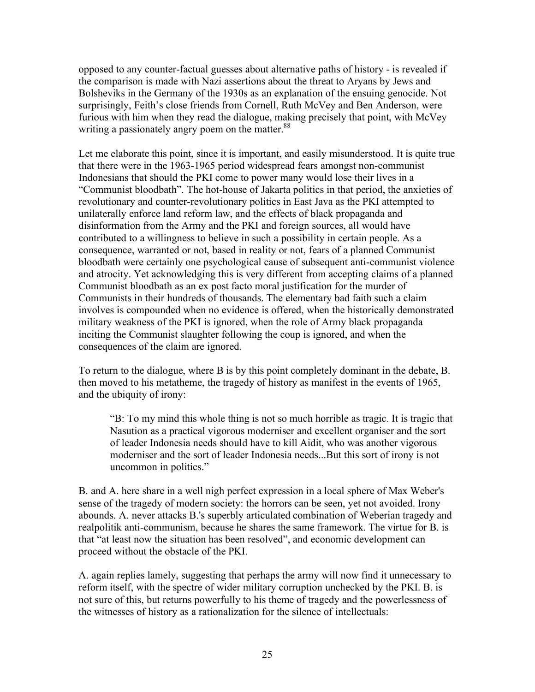opposed to any counter-factual guesses about alternative paths of history - is revealed if the comparison is made with Nazi assertions about the threat to Aryans by Jews and Bolsheviks in the Germany of the 1930s as an explanation of the ensuing genocide. Not surprisingly, Feith's close friends from Cornell, Ruth McVey and Ben Anderson, were furious with him when they read the dialogue, making precisely that point, with McVey writing a passionately angry poem on the matter.<sup>88</sup>

Let me elaborate this point, since it is important, and easily misunderstood. It is quite true that there were in the 1963-1965 period widespread fears amongst non-communist Indonesians that should the PKI come to power many would lose their lives in a "Communist bloodbath". The hot-house of Jakarta politics in that period, the anxieties of revolutionary and counter-revolutionary politics in East Java as the PKI attempted to unilaterally enforce land reform law, and the effects of black propaganda and disinformation from the Army and the PKI and foreign sources, all would have contributed to a willingness to believe in such a possibility in certain people. As a consequence, warranted or not, based in reality or not, fears of a planned Communist bloodbath were certainly one psychological cause of subsequent anti-communist violence and atrocity. Yet acknowledging this is very different from accepting claims of a planned Communist bloodbath as an ex post facto moral justification for the murder of Communists in their hundreds of thousands. The elementary bad faith such a claim involves is compounded when no evidence is offered, when the historically demonstrated military weakness of the PKI is ignored, when the role of Army black propaganda inciting the Communist slaughter following the coup is ignored, and when the consequences of the claim are ignored.

To return to the dialogue, where B is by this point completely dominant in the debate, B. then moved to his metatheme, the tragedy of history as manifest in the events of 1965, and the ubiquity of irony:

"B: To my mind this whole thing is not so much horrible as tragic. It is tragic that Nasution as a practical vigorous moderniser and excellent organiser and the sort of leader Indonesia needs should have to kill Aidit, who was another vigorous moderniser and the sort of leader Indonesia needs...But this sort of irony is not uncommon in politics."

B. and A. here share in a well nigh perfect expression in a local sphere of Max Weber's sense of the tragedy of modern society: the horrors can be seen, yet not avoided. Irony abounds. A. never attacks B.'s superbly articulated combination of Weberian tragedy and realpolitik anti-communism, because he shares the same framework. The virtue for B. is that "at least now the situation has been resolved", and economic development can proceed without the obstacle of the PKI.

A. again replies lamely, suggesting that perhaps the army will now find it unnecessary to reform itself, with the spectre of wider military corruption unchecked by the PKI. B. is not sure of this, but returns powerfully to his theme of tragedy and the powerlessness of the witnesses of history as a rationalization for the silence of intellectuals: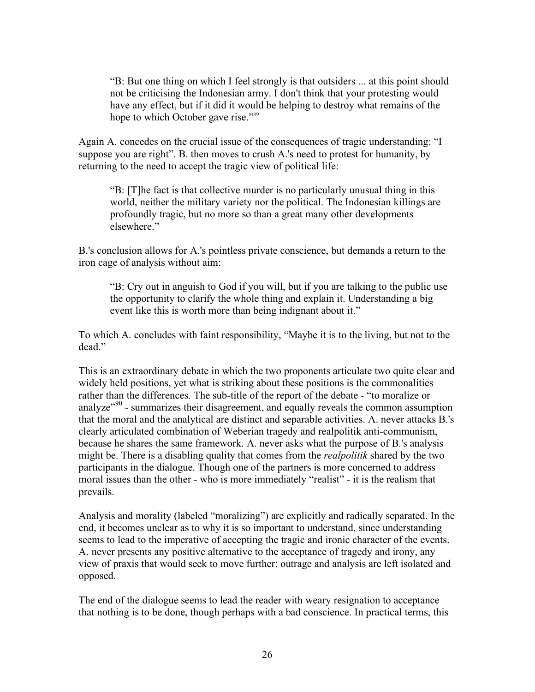"B: But one thing on which I feel strongly is that outsiders ... at this point should not be criticising the Indonesian army. I don't think that your protesting would have any effect, but if it did it would be helping to destroy what remains of the hope to which October gave rise."<sup>89</sup>

Again A. concedes on the crucial issue of the consequences of tragic understanding: "I suppose you are right". B. then moves to crush A.'s need to protest for humanity, by returning to the need to accept the tragic view of political life:

"B: [T]he fact is that collective murder is no particularly unusual thing in this world, neither the military variety nor the political. The Indonesian killings are profoundly tragic, but no more so than a great many other developments elsewhere."

B.'s conclusion allows for A.'s pointless private conscience, but demands a return to the iron cage of analysis without aim:

"B: Cry out in anguish to God if you will, but if you are talking to the public use the opportunity to clarify the whole thing and explain it. Understanding a big event like this is worth more than being indignant about it."

To which A. concludes with faint responsibility, "Maybe it is to the living, but not to the dead."

This is an extraordinary debate in which the two proponents articulate two quite clear and widely held positions, yet what is striking about these positions is the commonalities rather than the differences. The sub-title of the report of the debate - "to moralize or analyze $^{99}$  - summarizes their disagreement, and equally reveals the common assumption that the moral and the analytical are distinct and separable activities. A. never attacks B.'s clearly articulated combination of Weberian tragedy and realpolitik anti-communism, because he shares the same framework. A. never asks what the purpose of B.'s analysis might be. There is a disabling quality that comes from the *realpolitik* shared by the two participants in the dialogue. Though one of the partners is more concerned to address moral issues than the other - who is more immediately "realist" - it is the realism that prevails.

Analysis and morality (labeled "moralizing") are explicitly and radically separated. In the end, it becomes unclear as to why it is so important to understand, since understanding seems to lead to the imperative of accepting the tragic and ironic character of the events. A. never presents any positive alternative to the acceptance of tragedy and irony, any view of praxis that would seek to move further: outrage and analysis are left isolated and opposed.

The end of the dialogue seems to lead the reader with weary resignation to acceptance that nothing is to be done, though perhaps with a bad conscience. In practical terms, this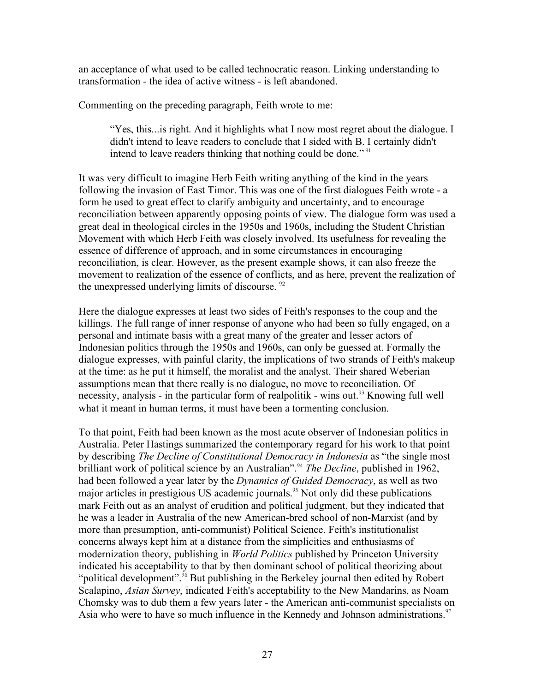an acceptance of what used to be called technocratic reason. Linking understanding to transformation - the idea of active witness - is left abandoned.

Commenting on the preceding paragraph, Feith wrote to me:

"Yes, this...is right. And it highlights what I now most regret about the dialogue. I didn't intend to leave readers to conclude that I sided with B. I certainly didn't intend to leave readers thinking that nothing could be done."<sup>91</sup>

It was very difficult to imagine Herb Feith writing anything of the kind in the years following the invasion of East Timor. This was one of the first dialogues Feith wrote - a form he used to great effect to clarify ambiguity and uncertainty, and to encourage reconciliation between apparently opposing points of view. The dialogue form was used a great deal in theological circles in the 1950s and 1960s, including the Student Christian Movement with which Herb Feith was closely involved. Its usefulness for revealing the essence of difference of approach, and in some circumstances in encouraging reconciliation, is clear. However, as the present example shows, it can also freeze the movement to realization of the essence of conflicts, and as here, prevent the realization of the unexpressed underlying limits of discourse. <sup>92</sup>

Here the dialogue expresses at least two sides of Feith's responses to the coup and the killings. The full range of inner response of anyone who had been so fully engaged, on a personal and intimate basis with a great many of the greater and lesser actors of Indonesian politics through the 1950s and 1960s, can only be guessed at. Formally the dialogue expresses, with painful clarity, the implications of two strands of Feith's makeup at the time: as he put it himself, the moralist and the analyst. Their shared Weberian assumptions mean that there really is no dialogue, no move to reconciliation. Of necessity, analysis - in the particular form of realpolitik - wins out.<sup>93</sup> Knowing full well what it meant in human terms, it must have been a tormenting conclusion.

To that point, Feith had been known as the most acute observer of Indonesian politics in Australia. Peter Hastings summarized the contemporary regard for his work to that point by describing *The Decline of Constitutional Democracy in Indonesia* as "the single most brilliant work of political science by an Australian".<sup>94</sup> *The Decline*, published in 1962, had been followed a year later by the *Dynamics of Guided Democracy*, as well as two major articles in prestigious US academic journals.<sup>95</sup> Not only did these publications mark Feith out as an analyst of erudition and political judgment, but they indicated that he was a leader in Australia of the new American-bred school of non-Marxist (and by more than presumption, anti-communist) Political Science. Feith's institutionalist concerns always kept him at a distance from the simplicities and enthusiasms of modernization theory, publishing in *World Politics* published by Princeton University indicated his acceptability to that by then dominant school of political theorizing about "political development".<sup>96</sup> But publishing in the Berkeley journal then edited by Robert Scalapino, *Asian Survey*, indicated Feith's acceptability to the New Mandarins, as Noam Chomsky was to dub them a few years later - the American anti-communist specialists on Asia who were to have so much influence in the Kennedy and Johnson administrations.<sup>97</sup>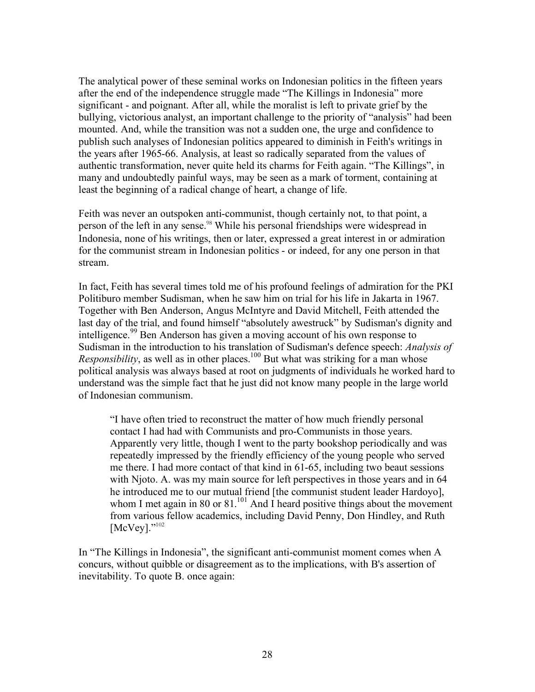The analytical power of these seminal works on Indonesian politics in the fifteen years after the end of the independence struggle made "The Killings in Indonesia" more significant - and poignant. After all, while the moralist is left to private grief by the bullying, victorious analyst, an important challenge to the priority of "analysis" had been mounted. And, while the transition was not a sudden one, the urge and confidence to publish such analyses of Indonesian politics appeared to diminish in Feith's writings in the years after 1965-66. Analysis, at least so radically separated from the values of authentic transformation, never quite held its charms for Feith again. "The Killings", in many and undoubtedly painful ways, may be seen as a mark of torment, containing at least the beginning of a radical change of heart, a change of life.

Feith was never an outspoken anti-communist, though certainly not, to that point, a person of the left in any sense.<sup>98</sup> While his personal friendships were widespread in Indonesia, none of his writings, then or later, expressed a great interest in or admiration for the communist stream in Indonesian politics - or indeed, for any one person in that stream.

In fact, Feith has several times told me of his profound feelings of admiration for the PKI Politiburo member Sudisman, when he saw him on trial for his life in Jakarta in 1967. Together with Ben Anderson, Angus McIntyre and David Mitchell, Feith attended the last day of the trial, and found himself "absolutely awestruck" by Sudisman's dignity and intelligence.<sup>99</sup> Ben Anderson has given a moving account of his own response to Sudisman in the introduction to his translation of Sudisman's defence speech: *Analysis of Responsibility*, as well as in other places.<sup>100</sup> But what was striking for a man whose political analysis was always based at root on judgments of individuals he worked hard to understand was the simple fact that he just did not know many people in the large world of Indonesian communism.

"I have often tried to reconstruct the matter of how much friendly personal contact I had had with Communists and pro-Communists in those years. Apparently very little, though I went to the party bookshop periodically and was repeatedly impressed by the friendly efficiency of the young people who served me there. I had more contact of that kind in 61-65, including two beaut sessions with Njoto. A. was my main source for left perspectives in those years and in 64 he introduced me to our mutual friend [the communist student leader Hardoyo], whom I met again in 80 or 81.<sup>101</sup> And I heard positive things about the movement from various fellow academics, including David Penny, Don Hindley, and Ruth [McVey]."<sup>102</sup>

In "The Killings in Indonesia", the significant anti-communist moment comes when A concurs, without quibble or disagreement as to the implications, with B's assertion of inevitability. To quote B. once again: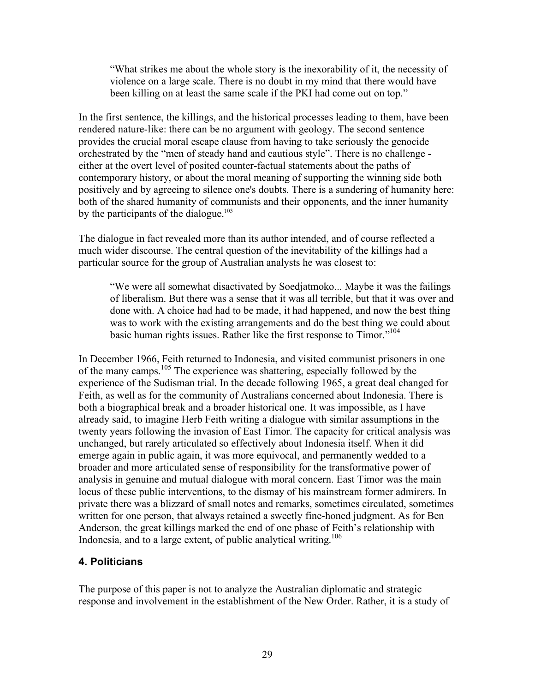"What strikes me about the whole story is the inexorability of it, the necessity of violence on a large scale. There is no doubt in my mind that there would have been killing on at least the same scale if the PKI had come out on top."

In the first sentence, the killings, and the historical processes leading to them, have been rendered nature-like: there can be no argument with geology. The second sentence provides the crucial moral escape clause from having to take seriously the genocide orchestrated by the "men of steady hand and cautious style". There is no challenge either at the overt level of posited counter-factual statements about the paths of contemporary history, or about the moral meaning of supporting the winning side both positively and by agreeing to silence one's doubts. There is a sundering of humanity here: both of the shared humanity of communists and their opponents, and the inner humanity by the participants of the dialogue. $103$ 

The dialogue in fact revealed more than its author intended, and of course reflected a much wider discourse. The central question of the inevitability of the killings had a particular source for the group of Australian analysts he was closest to:

"We were all somewhat disactivated by Soedjatmoko... Maybe it was the failings of liberalism. But there was a sense that it was all terrible, but that it was over and done with. A choice had had to be made, it had happened, and now the best thing was to work with the existing arrangements and do the best thing we could about basic human rights issues. Rather like the first response to Timor."<sup>104</sup>

In December 1966, Feith returned to Indonesia, and visited communist prisoners in one of the many camps.<sup>105</sup> The experience was shattering, especially followed by the experience of the Sudisman trial. In the decade following 1965, a great deal changed for Feith, as well as for the community of Australians concerned about Indonesia. There is both a biographical break and a broader historical one. It was impossible, as I have already said, to imagine Herb Feith writing a dialogue with similar assumptions in the twenty years following the invasion of East Timor. The capacity for critical analysis was unchanged, but rarely articulated so effectively about Indonesia itself. When it did emerge again in public again, it was more equivocal, and permanently wedded to a broader and more articulated sense of responsibility for the transformative power of analysis in genuine and mutual dialogue with moral concern. East Timor was the main locus of these public interventions, to the dismay of his mainstream former admirers. In private there was a blizzard of small notes and remarks, sometimes circulated, sometimes written for one person, that always retained a sweetly fine-honed judgment. As for Ben Anderson, the great killings marked the end of one phase of Feith's relationship with Indonesia, and to a large extent, of public analytical writing.<sup>106</sup>

### **4. Politicians**

The purpose of this paper is not to analyze the Australian diplomatic and strategic response and involvement in the establishment of the New Order. Rather, it is a study of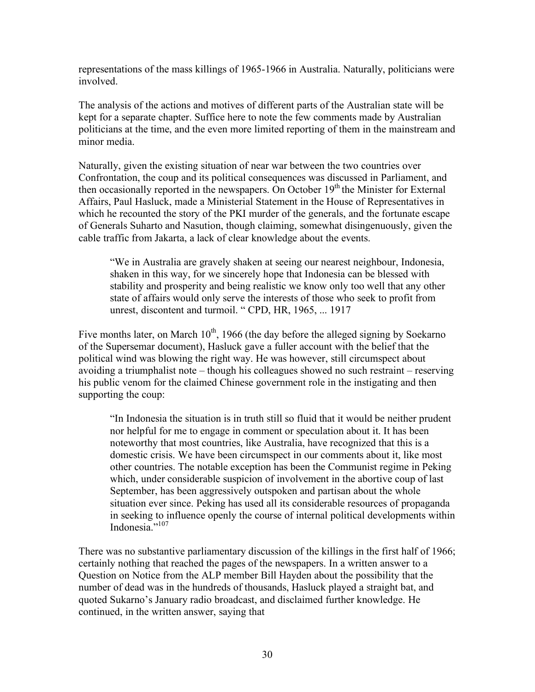representations of the mass killings of 1965-1966 in Australia. Naturally, politicians were involved.

The analysis of the actions and motives of different parts of the Australian state will be kept for a separate chapter. Suffice here to note the few comments made by Australian politicians at the time, and the even more limited reporting of them in the mainstream and minor media.

Naturally, given the existing situation of near war between the two countries over Confrontation, the coup and its political consequences was discussed in Parliament, and then occasionally reported in the newspapers. On October  $19<sup>th</sup>$  the Minister for External Affairs, Paul Hasluck, made a Ministerial Statement in the House of Representatives in which he recounted the story of the PKI murder of the generals, and the fortunate escape of Generals Suharto and Nasution, though claiming, somewhat disingenuously, given the cable traffic from Jakarta, a lack of clear knowledge about the events.

"We in Australia are gravely shaken at seeing our nearest neighbour, Indonesia, shaken in this way, for we sincerely hope that Indonesia can be blessed with stability and prosperity and being realistic we know only too well that any other state of affairs would only serve the interests of those who seek to profit from unrest, discontent and turmoil. " CPD, HR, 1965, ... 1917

Five months later, on March  $10<sup>th</sup>$ , 1966 (the day before the alleged signing by Soekarno of the Supersemar document), Hasluck gave a fuller account with the belief that the political wind was blowing the right way. He was however, still circumspect about avoiding a triumphalist note – though his colleagues showed no such restraint – reserving his public venom for the claimed Chinese government role in the instigating and then supporting the coup:

"In Indonesia the situation is in truth still so fluid that it would be neither prudent nor helpful for me to engage in comment or speculation about it. It has been noteworthy that most countries, like Australia, have recognized that this is a domestic crisis. We have been circumspect in our comments about it, like most other countries. The notable exception has been the Communist regime in Peking which, under considerable suspicion of involvement in the abortive coup of last September, has been aggressively outspoken and partisan about the whole situation ever since. Peking has used all its considerable resources of propaganda in seeking to influence openly the course of internal political developments within Indonesia."<sup>107</sup>

There was no substantive parliamentary discussion of the killings in the first half of 1966; certainly nothing that reached the pages of the newspapers. In a written answer to a Question on Notice from the ALP member Bill Hayden about the possibility that the number of dead was in the hundreds of thousands, Hasluck played a straight bat, and quoted Sukarno's January radio broadcast, and disclaimed further knowledge. He continued, in the written answer, saying that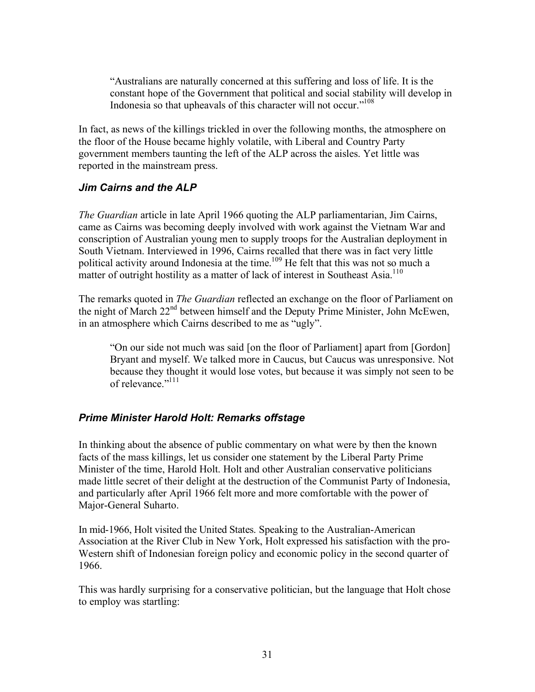"Australians are naturally concerned at this suffering and loss of life. It is the constant hope of the Government that political and social stability will develop in Indonesia so that upheavals of this character will not occur."108

In fact, as news of the killings trickled in over the following months, the atmosphere on the floor of the House became highly volatile, with Liberal and Country Party government members taunting the left of the ALP across the aisles. Yet little was reported in the mainstream press.

### *Jim Cairns and the ALP*

*The Guardian* article in late April 1966 quoting the ALP parliamentarian, Jim Cairns, came as Cairns was becoming deeply involved with work against the Vietnam War and conscription of Australian young men to supply troops for the Australian deployment in South Vietnam. Interviewed in 1996, Cairns recalled that there was in fact very little political activity around Indonesia at the time.<sup>109</sup> He felt that this was not so much a matter of outright hostility as a matter of lack of interest in Southeast Asia.<sup>110</sup>

The remarks quoted in *The Guardian* reflected an exchange on the floor of Parliament on the night of March 22<sup>nd</sup> between himself and the Deputy Prime Minister, John McEwen, in an atmosphere which Cairns described to me as "ugly".

"On our side not much was said [on the floor of Parliament] apart from [Gordon] Bryant and myself. We talked more in Caucus, but Caucus was unresponsive. Not because they thought it would lose votes, but because it was simply not seen to be of relevance."<sup>111</sup>

## *Prime Minister Harold Holt: Remarks offstage*

In thinking about the absence of public commentary on what were by then the known facts of the mass killings, let us consider one statement by the Liberal Party Prime Minister of the time, Harold Holt. Holt and other Australian conservative politicians made little secret of their delight at the destruction of the Communist Party of Indonesia, and particularly after April 1966 felt more and more comfortable with the power of Major-General Suharto.

In mid-1966, Holt visited the United States. Speaking to the Australian-American Association at the River Club in New York, Holt expressed his satisfaction with the pro-Western shift of Indonesian foreign policy and economic policy in the second quarter of 1966.

This was hardly surprising for a conservative politician, but the language that Holt chose to employ was startling: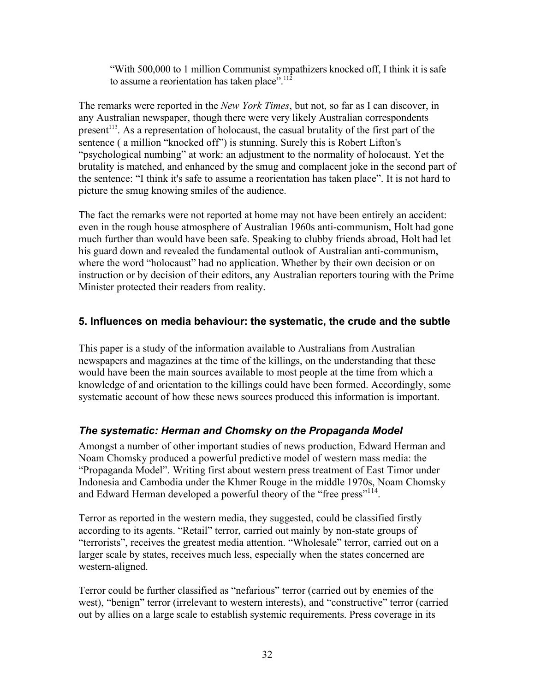"With 500,000 to 1 million Communist sympathizers knocked off, I think it is safe to assume a reorientation has taken place".<sup>112</sup>

The remarks were reported in the *New York Times*, but not, so far as I can discover, in any Australian newspaper, though there were very likely Australian correspondents present<sup>113</sup>. As a representation of holocaust, the casual brutality of the first part of the sentence ( a million "knocked off") is stunning. Surely this is Robert Lifton's "psychological numbing" at work: an adjustment to the normality of holocaust. Yet the brutality is matched, and enhanced by the smug and complacent joke in the second part of the sentence: "I think it's safe to assume a reorientation has taken place". It is not hard to picture the smug knowing smiles of the audience.

The fact the remarks were not reported at home may not have been entirely an accident: even in the rough house atmosphere of Australian 1960s anti-communism, Holt had gone much further than would have been safe. Speaking to clubby friends abroad, Holt had let his guard down and revealed the fundamental outlook of Australian anti-communism, where the word "holocaust" had no application. Whether by their own decision or on instruction or by decision of their editors, any Australian reporters touring with the Prime Minister protected their readers from reality.

## **5. Influences on media behaviour: the systematic, the crude and the subtle**

This paper is a study of the information available to Australians from Australian newspapers and magazines at the time of the killings, on the understanding that these would have been the main sources available to most people at the time from which a knowledge of and orientation to the killings could have been formed. Accordingly, some systematic account of how these news sources produced this information is important.

# *The systematic: Herman and Chomsky on the Propaganda Model*

Amongst a number of other important studies of news production, Edward Herman and Noam Chomsky produced a powerful predictive model of western mass media: the "Propaganda Model". Writing first about western press treatment of East Timor under Indonesia and Cambodia under the Khmer Rouge in the middle 1970s, Noam Chomsky and Edward Herman developed a powerful theory of the "free press"<sup>114</sup>.

Terror as reported in the western media, they suggested, could be classified firstly according to its agents. "Retail" terror, carried out mainly by non-state groups of "terrorists", receives the greatest media attention. "Wholesale" terror, carried out on a larger scale by states, receives much less, especially when the states concerned are western-aligned.

Terror could be further classified as "nefarious" terror (carried out by enemies of the west), "benign" terror (irrelevant to western interests), and "constructive" terror (carried out by allies on a large scale to establish systemic requirements. Press coverage in its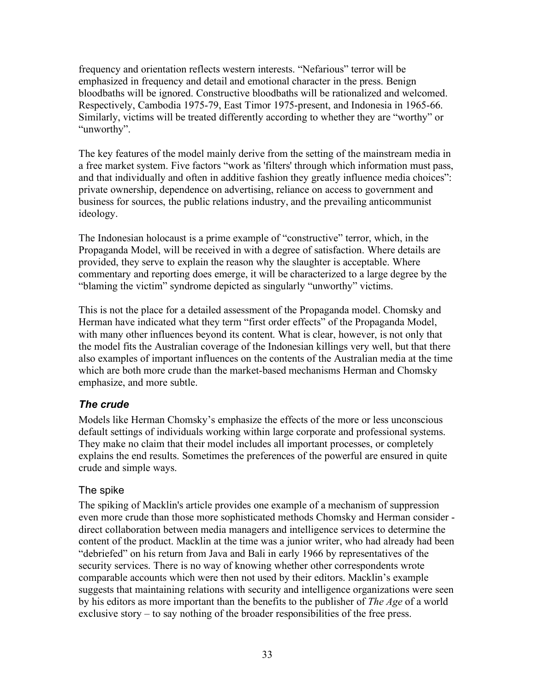frequency and orientation reflects western interests. "Nefarious" terror will be emphasized in frequency and detail and emotional character in the press. Benign bloodbaths will be ignored. Constructive bloodbaths will be rationalized and welcomed. Respectively, Cambodia 1975-79, East Timor 1975-present, and Indonesia in 1965-66. Similarly, victims will be treated differently according to whether they are "worthy" or "unworthy".

The key features of the model mainly derive from the setting of the mainstream media in a free market system. Five factors "work as 'filters' through which information must pass, and that individually and often in additive fashion they greatly influence media choices": private ownership, dependence on advertising, reliance on access to government and business for sources, the public relations industry, and the prevailing anticommunist ideology.

The Indonesian holocaust is a prime example of "constructive" terror, which, in the Propaganda Model, will be received in with a degree of satisfaction. Where details are provided, they serve to explain the reason why the slaughter is acceptable. Where commentary and reporting does emerge, it will be characterized to a large degree by the "blaming the victim" syndrome depicted as singularly "unworthy" victims.

This is not the place for a detailed assessment of the Propaganda model. Chomsky and Herman have indicated what they term "first order effects" of the Propaganda Model, with many other influences beyond its content. What is clear, however, is not only that the model fits the Australian coverage of the Indonesian killings very well, but that there also examples of important influences on the contents of the Australian media at the time which are both more crude than the market-based mechanisms Herman and Chomsky emphasize, and more subtle.

## *The crude*

Models like Herman Chomsky's emphasize the effects of the more or less unconscious default settings of individuals working within large corporate and professional systems. They make no claim that their model includes all important processes, or completely explains the end results. Sometimes the preferences of the powerful are ensured in quite crude and simple ways.

## The spike

The spiking of Macklin's article provides one example of a mechanism of suppression even more crude than those more sophisticated methods Chomsky and Herman consider direct collaboration between media managers and intelligence services to determine the content of the product. Macklin at the time was a junior writer, who had already had been "debriefed" on his return from Java and Bali in early 1966 by representatives of the security services. There is no way of knowing whether other correspondents wrote comparable accounts which were then not used by their editors. Macklin's example suggests that maintaining relations with security and intelligence organizations were seen by his editors as more important than the benefits to the publisher of *The Age* of a world exclusive story – to say nothing of the broader responsibilities of the free press.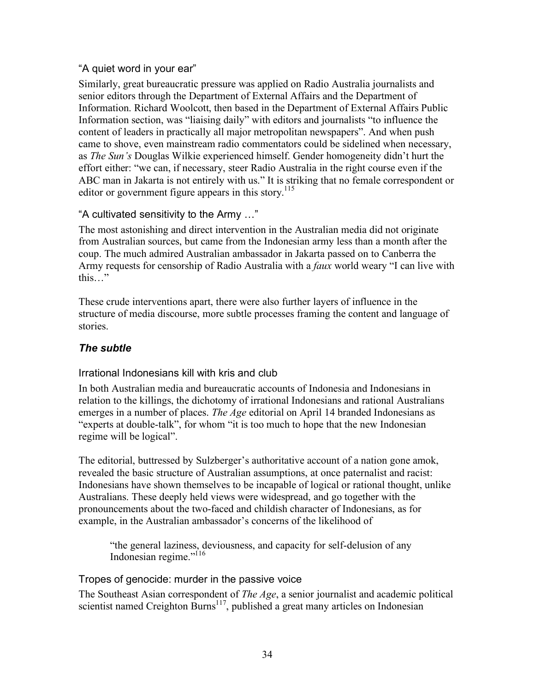## "A quiet word in your ear"

Similarly, great bureaucratic pressure was applied on Radio Australia journalists and senior editors through the Department of External Affairs and the Department of Information. Richard Woolcott, then based in the Department of External Affairs Public Information section, was "liaising daily" with editors and journalists "to influence the content of leaders in practically all major metropolitan newspapers". And when push came to shove, even mainstream radio commentators could be sidelined when necessary, as *The Sun's* Douglas Wilkie experienced himself. Gender homogeneity didn't hurt the effort either: "we can, if necessary, steer Radio Australia in the right course even if the ABC man in Jakarta is not entirely with us." It is striking that no female correspondent or editor or government figure appears in this story.<sup>115</sup>

### "A cultivated sensitivity to the Army …"

The most astonishing and direct intervention in the Australian media did not originate from Australian sources, but came from the Indonesian army less than a month after the coup. The much admired Australian ambassador in Jakarta passed on to Canberra the Army requests for censorship of Radio Australia with a *faux* world weary "I can live with this…"

These crude interventions apart, there were also further layers of influence in the structure of media discourse, more subtle processes framing the content and language of stories.

## *The subtle*

### Irrational Indonesians kill with kris and club

In both Australian media and bureaucratic accounts of Indonesia and Indonesians in relation to the killings, the dichotomy of irrational Indonesians and rational Australians emerges in a number of places. *The Age* editorial on April 14 branded Indonesians as "experts at double-talk", for whom "it is too much to hope that the new Indonesian regime will be logical".

The editorial, buttressed by Sulzberger's authoritative account of a nation gone amok, revealed the basic structure of Australian assumptions, at once paternalist and racist: Indonesians have shown themselves to be incapable of logical or rational thought, unlike Australians. These deeply held views were widespread, and go together with the pronouncements about the two-faced and childish character of Indonesians, as for example, in the Australian ambassador's concerns of the likelihood of

"the general laziness, deviousness, and capacity for self-delusion of any Indonesian regime."116

Tropes of genocide: murder in the passive voice

The Southeast Asian correspondent of *The Age*, a senior journalist and academic political scientist named Creighton Burns<sup>117</sup>, published a great many articles on Indonesian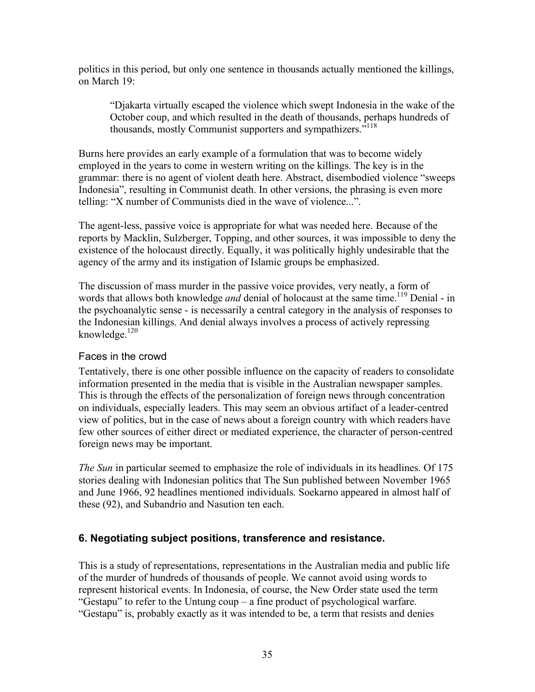politics in this period, but only one sentence in thousands actually mentioned the killings, on March 19:

"Djakarta virtually escaped the violence which swept Indonesia in the wake of the October coup, and which resulted in the death of thousands, perhaps hundreds of thousands, mostly Communist supporters and sympathizers.<sup>"118</sup>

Burns here provides an early example of a formulation that was to become widely employed in the years to come in western writing on the killings. The key is in the grammar: there is no agent of violent death here. Abstract, disembodied violence "sweeps Indonesia", resulting in Communist death. In other versions, the phrasing is even more telling: "X number of Communists died in the wave of violence...".

The agent-less, passive voice is appropriate for what was needed here. Because of the reports by Macklin, Sulzberger, Topping, and other sources, it was impossible to deny the existence of the holocaust directly. Equally, it was politically highly undesirable that the agency of the army and its instigation of Islamic groups be emphasized.

The discussion of mass murder in the passive voice provides, very neatly, a form of words that allows both knowledge *and* denial of holocaust at the same time.<sup>119</sup> Denial - in the psychoanalytic sense - is necessarily a central category in the analysis of responses to the Indonesian killings. And denial always involves a process of actively repressing knowledge. $120$ 

### Faces in the crowd

Tentatively, there is one other possible influence on the capacity of readers to consolidate information presented in the media that is visible in the Australian newspaper samples. This is through the effects of the personalization of foreign news through concentration on individuals, especially leaders. This may seem an obvious artifact of a leader-centred view of politics, but in the case of news about a foreign country with which readers have few other sources of either direct or mediated experience, the character of person-centred foreign news may be important.

*The Sun* in particular seemed to emphasize the role of individuals in its headlines. Of 175 stories dealing with Indonesian politics that The Sun published between November 1965 and June 1966, 92 headlines mentioned individuals. Soekarno appeared in almost half of these (92), and Subandrio and Nasution ten each.

## **6. Negotiating subject positions, transference and resistance.**

This is a study of representations, representations in the Australian media and public life of the murder of hundreds of thousands of people. We cannot avoid using words to represent historical events. In Indonesia, of course, the New Order state used the term "Gestapu" to refer to the Untung coup – a fine product of psychological warfare. "Gestapu" is, probably exactly as it was intended to be, a term that resists and denies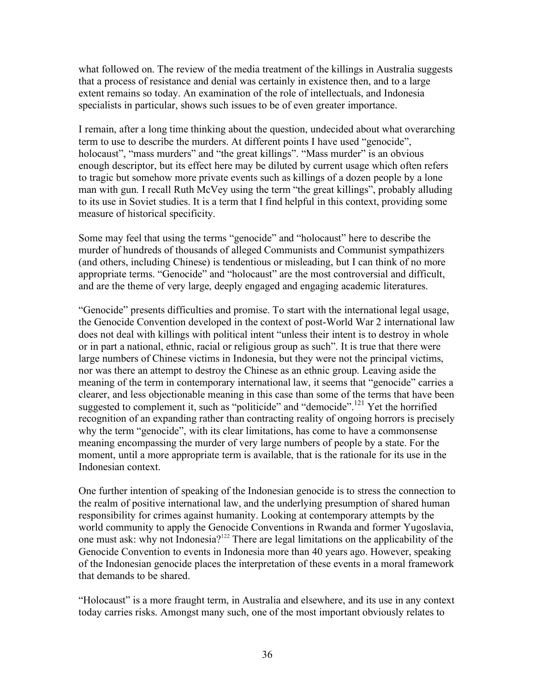what followed on. The review of the media treatment of the killings in Australia suggests that a process of resistance and denial was certainly in existence then, and to a large extent remains so today. An examination of the role of intellectuals, and Indonesia specialists in particular, shows such issues to be of even greater importance.

I remain, after a long time thinking about the question, undecided about what overarching term to use to describe the murders. At different points I have used "genocide", holocaust", "mass murders" and "the great killings". "Mass murder" is an obvious enough descriptor, but its effect here may be diluted by current usage which often refers to tragic but somehow more private events such as killings of a dozen people by a lone man with gun. I recall Ruth McVey using the term "the great killings", probably alluding to its use in Soviet studies. It is a term that I find helpful in this context, providing some measure of historical specificity.

Some may feel that using the terms "genocide" and "holocaust" here to describe the murder of hundreds of thousands of alleged Communists and Communist sympathizers (and others, including Chinese) is tendentious or misleading, but I can think of no more appropriate terms. "Genocide" and "holocaust" are the most controversial and difficult, and are the theme of very large, deeply engaged and engaging academic literatures.

"Genocide" presents difficulties and promise. To start with the international legal usage, the Genocide Convention developed in the context of post-World War 2 international law does not deal with killings with political intent "unless their intent is to destroy in whole or in part a national, ethnic, racial or religious group as such". It is true that there were large numbers of Chinese victims in Indonesia, but they were not the principal victims, nor was there an attempt to destroy the Chinese as an ethnic group. Leaving aside the meaning of the term in contemporary international law, it seems that "genocide" carries a clearer, and less objectionable meaning in this case than some of the terms that have been suggested to complement it, such as "politicide" and "democide".<sup>121</sup> Yet the horrified recognition of an expanding rather than contracting reality of ongoing horrors is precisely why the term "genocide", with its clear limitations, has come to have a commonsense meaning encompassing the murder of very large numbers of people by a state. For the moment, until a more appropriate term is available, that is the rationale for its use in the Indonesian context.

One further intention of speaking of the Indonesian genocide is to stress the connection to the realm of positive international law, and the underlying presumption of shared human responsibility for crimes against humanity. Looking at contemporary attempts by the world community to apply the Genocide Conventions in Rwanda and former Yugoslavia, one must ask: why not Indonesia?<sup>122</sup> There are legal limitations on the applicability of the Genocide Convention to events in Indonesia more than 40 years ago. However, speaking of the Indonesian genocide places the interpretation of these events in a moral framework that demands to be shared.

"Holocaust" is a more fraught term, in Australia and elsewhere, and its use in any context today carries risks. Amongst many such, one of the most important obviously relates to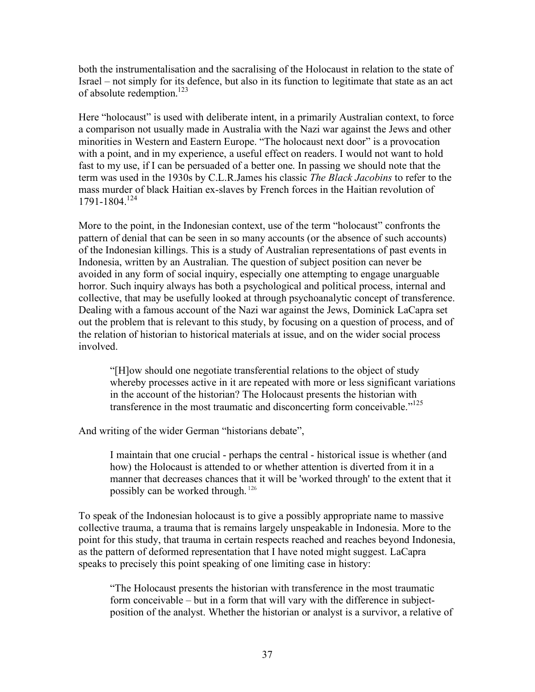both the instrumentalisation and the sacralising of the Holocaust in relation to the state of Israel – not simply for its defence, but also in its function to legitimate that state as an act of absolute redemption.<sup>123</sup>

Here "holocaust" is used with deliberate intent, in a primarily Australian context, to force a comparison not usually made in Australia with the Nazi war against the Jews and other minorities in Western and Eastern Europe. "The holocaust next door" is a provocation with a point, and in my experience, a useful effect on readers. I would not want to hold fast to my use, if I can be persuaded of a better one. In passing we should note that the term was used in the 1930s by C.L.R.James his classic *The Black Jacobins* to refer to the mass murder of black Haitian ex-slaves by French forces in the Haitian revolution of  $1791 - 1804$ <sup>124</sup>

More to the point, in the Indonesian context, use of the term "holocaust" confronts the pattern of denial that can be seen in so many accounts (or the absence of such accounts) of the Indonesian killings. This is a study of Australian representations of past events in Indonesia, written by an Australian. The question of subject position can never be avoided in any form of social inquiry, especially one attempting to engage unarguable horror. Such inquiry always has both a psychological and political process, internal and collective, that may be usefully looked at through psychoanalytic concept of transference. Dealing with a famous account of the Nazi war against the Jews, Dominick LaCapra set out the problem that is relevant to this study, by focusing on a question of process, and of the relation of historian to historical materials at issue, and on the wider social process involved.

"[H]ow should one negotiate transferential relations to the object of study whereby processes active in it are repeated with more or less significant variations in the account of the historian? The Holocaust presents the historian with transference in the most traumatic and disconcerting form conceivable."<sup>125</sup>

And writing of the wider German "historians debate",

I maintain that one crucial - perhaps the central - historical issue is whether (and how) the Holocaust is attended to or whether attention is diverted from it in a manner that decreases chances that it will be 'worked through' to the extent that it possibly can be worked through. <sup>126</sup>

To speak of the Indonesian holocaust is to give a possibly appropriate name to massive collective trauma, a trauma that is remains largely unspeakable in Indonesia. More to the point for this study, that trauma in certain respects reached and reaches beyond Indonesia, as the pattern of deformed representation that I have noted might suggest. LaCapra speaks to precisely this point speaking of one limiting case in history:

"The Holocaust presents the historian with transference in the most traumatic form conceivable – but in a form that will vary with the difference in subjectposition of the analyst. Whether the historian or analyst is a survivor, a relative of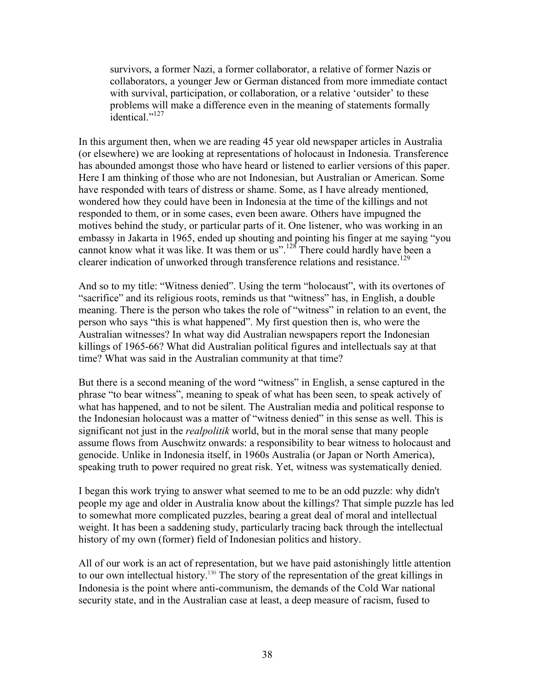survivors, a former Nazi, a former collaborator, a relative of former Nazis or collaborators, a younger Jew or German distanced from more immediate contact with survival, participation, or collaboration, or a relative 'outsider' to these problems will make a difference even in the meaning of statements formally identical."<sup>127</sup>

In this argument then, when we are reading 45 year old newspaper articles in Australia (or elsewhere) we are looking at representations of holocaust in Indonesia. Transference has abounded amongst those who have heard or listened to earlier versions of this paper. Here I am thinking of those who are not Indonesian, but Australian or American. Some have responded with tears of distress or shame. Some, as I have already mentioned, wondered how they could have been in Indonesia at the time of the killings and not responded to them, or in some cases, even been aware. Others have impugned the motives behind the study, or particular parts of it. One listener, who was working in an embassy in Jakarta in 1965, ended up shouting and pointing his finger at me saying "you cannot know what it was like. It was them or us".<sup>128</sup> There could hardly have been a clearer indication of unworked through transference relations and resistance.<sup>129</sup>

And so to my title: "Witness denied". Using the term "holocaust", with its overtones of "sacrifice" and its religious roots, reminds us that "witness" has, in English, a double meaning. There is the person who takes the role of "witness" in relation to an event, the person who says "this is what happened". My first question then is, who were the Australian witnesses? In what way did Australian newspapers report the Indonesian killings of 1965-66? What did Australian political figures and intellectuals say at that time? What was said in the Australian community at that time?

But there is a second meaning of the word "witness" in English, a sense captured in the phrase "to bear witness", meaning to speak of what has been seen, to speak actively of what has happened, and to not be silent. The Australian media and political response to the Indonesian holocaust was a matter of "witness denied" in this sense as well. This is significant not just in the *realpolitik* world, but in the moral sense that many people assume flows from Auschwitz onwards: a responsibility to bear witness to holocaust and genocide. Unlike in Indonesia itself, in 1960s Australia (or Japan or North America), speaking truth to power required no great risk. Yet, witness was systematically denied.

I began this work trying to answer what seemed to me to be an odd puzzle: why didn't people my age and older in Australia know about the killings? That simple puzzle has led to somewhat more complicated puzzles, bearing a great deal of moral and intellectual weight. It has been a saddening study, particularly tracing back through the intellectual history of my own (former) field of Indonesian politics and history.

All of our work is an act of representation, but we have paid astonishingly little attention to our own intellectual history.<sup>130</sup> The story of the representation of the great killings in Indonesia is the point where anti-communism, the demands of the Cold War national security state, and in the Australian case at least, a deep measure of racism, fused to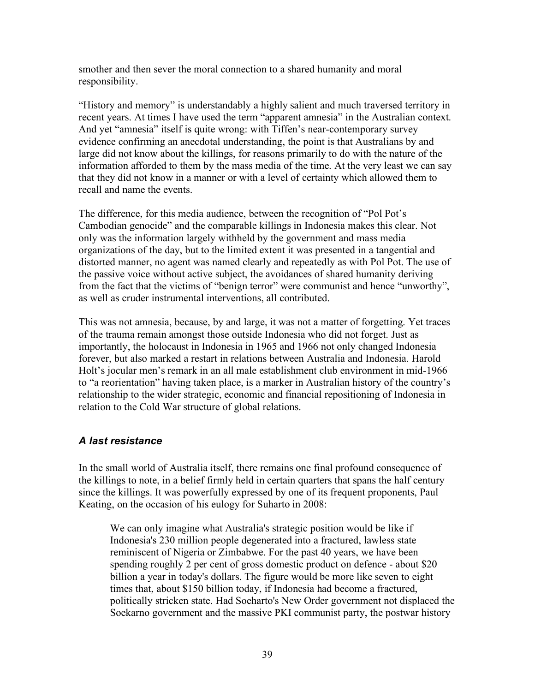smother and then sever the moral connection to a shared humanity and moral responsibility.

"History and memory" is understandably a highly salient and much traversed territory in recent years. At times I have used the term "apparent amnesia" in the Australian context. And yet "amnesia" itself is quite wrong: with Tiffen's near-contemporary survey evidence confirming an anecdotal understanding, the point is that Australians by and large did not know about the killings, for reasons primarily to do with the nature of the information afforded to them by the mass media of the time. At the very least we can say that they did not know in a manner or with a level of certainty which allowed them to recall and name the events.

The difference, for this media audience, between the recognition of "Pol Pot's Cambodian genocide" and the comparable killings in Indonesia makes this clear. Not only was the information largely withheld by the government and mass media organizations of the day, but to the limited extent it was presented in a tangential and distorted manner, no agent was named clearly and repeatedly as with Pol Pot. The use of the passive voice without active subject, the avoidances of shared humanity deriving from the fact that the victims of "benign terror" were communist and hence "unworthy", as well as cruder instrumental interventions, all contributed.

This was not amnesia, because, by and large, it was not a matter of forgetting. Yet traces of the trauma remain amongst those outside Indonesia who did not forget. Just as importantly, the holocaust in Indonesia in 1965 and 1966 not only changed Indonesia forever, but also marked a restart in relations between Australia and Indonesia. Harold Holt's jocular men's remark in an all male establishment club environment in mid-1966 to "a reorientation" having taken place, is a marker in Australian history of the country's relationship to the wider strategic, economic and financial repositioning of Indonesia in relation to the Cold War structure of global relations.

## *A last resistance*

In the small world of Australia itself, there remains one final profound consequence of the killings to note, in a belief firmly held in certain quarters that spans the half century since the killings. It was powerfully expressed by one of its frequent proponents, Paul Keating, on the occasion of his eulogy for Suharto in 2008:

We can only imagine what Australia's strategic position would be like if Indonesia's 230 million people degenerated into a fractured, lawless state reminiscent of Nigeria or Zimbabwe. For the past 40 years, we have been spending roughly 2 per cent of gross domestic product on defence - about \$20 billion a year in today's dollars. The figure would be more like seven to eight times that, about \$150 billion today, if Indonesia had become a fractured, politically stricken state. Had Soeharto's New Order government not displaced the Soekarno government and the massive PKI communist party, the postwar history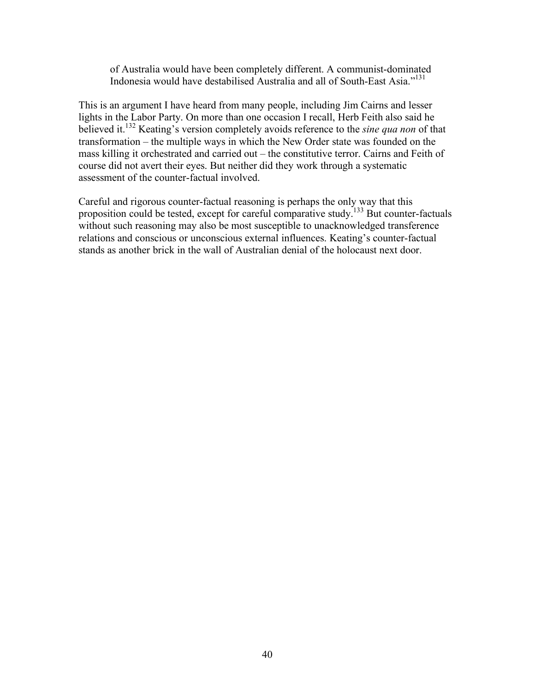of Australia would have been completely different. A communist-dominated Indonesia would have destabilised Australia and all of South-East Asia."131

This is an argument I have heard from many people, including Jim Cairns and lesser lights in the Labor Party. On more than one occasion I recall, Herb Feith also said he believed it.132 Keating's version completely avoids reference to the *sine qua non* of that transformation – the multiple ways in which the New Order state was founded on the mass killing it orchestrated and carried out – the constitutive terror. Cairns and Feith of course did not avert their eyes. But neither did they work through a systematic assessment of the counter-factual involved.

Careful and rigorous counter-factual reasoning is perhaps the only way that this proposition could be tested, except for careful comparative study.<sup>133</sup> But counter-factuals without such reasoning may also be most susceptible to unacknowledged transference relations and conscious or unconscious external influences. Keating's counter-factual stands as another brick in the wall of Australian denial of the holocaust next door.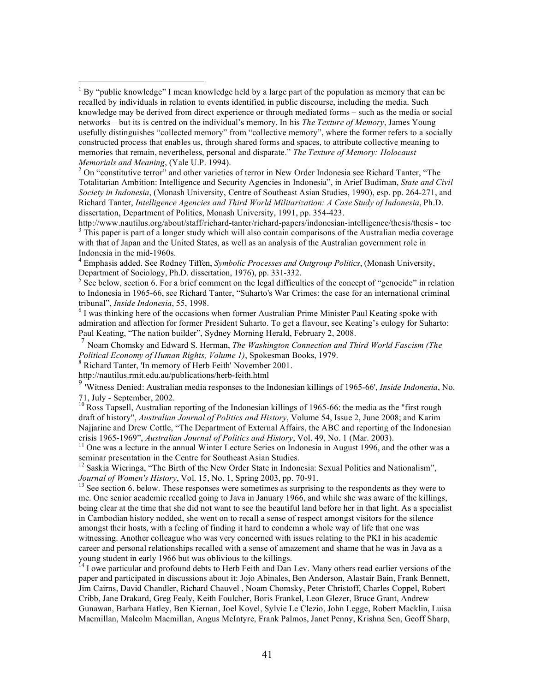<sup>2</sup> On "constitutive terror" and other varieties of terror in New Order Indonesia see Richard Tanter, "The Totalitarian Ambition: Intelligence and Security Agencies in Indonesia", in Arief Budiman, *State and Civil Society in Indonesia*, (Monash University, Centre of Southeast Asian Studies, 1990), esp. pp. 264-271, and Richard Tanter, *Intelligence Agencies and Third World Militarization: A Case Study of Indonesia*, Ph.D. dissertation, Department of Politics, Monash University, 1991, pp. 354-423.

http://www.nautilus.org/about/staff/richard-tanter/richard-papers/indonesian-intelligence/thesis/thesis - toc <sup>3</sup> <sup>3</sup> This paper is part of a longer study which will also contain comparisons of the Australian media coverage with that of Japan and the United States, as well as an analysis of the Australian government role in Indonesia in the mid-1960s. <sup>4</sup>

 Emphasis added. See Rodney Tiffen, *Symbolic Processes and Outgroup Politics*, (Monash University, Department of Sociology, Ph.D. dissertation, 1976), pp. 331-332.

 $<sup>5</sup>$  See below, section 6. For a brief comment on the legal difficulties of the concept of "genocide" in relation</sup> to Indonesia in 1965-66, see Richard Tanter, "Suharto's War Crimes: the case for an international criminal tribunal", *Inside Indonesia*, 55, 1998. <sup>6</sup>

 $<sup>6</sup>$  I was thinking here of the occasions when former Australian Prime Minister Paul Keating spoke with</sup> admiration and affection for former President Suharto. To get a flavour, see Keating's eulogy for Suharto: Paul Keating, "The nation builder", Sydney Morning Herald, February 2, 2008.

<sup>7</sup> Noam Chomsky and Edward S. Herman, *The Washington Connection and Third World Fascism (The Political Economy of Human Rights, Volume 1)*, Spokesman Books, 1979.<br><sup>8</sup> Richard Tanter, 'In memory of Herb Feith' November 2001.

http://nautilus.rmit.edu.au/publications/herb-feith.html

<sup>9</sup> 'Witness Denied: Australian media responses to the Indonesian killings of 1965-66', *Inside Indonesia*, No. 71, July - September, 2002.<br><sup>10</sup> Ross Tapsell, Australian reporting of the Indonesian killings of 1965-66: the media as the "first rough"

draft of history", *Australian Journal of Politics and History*, Volume 54, Issue 2, June 2008; and Karim Najjarine and Drew Cottle, "The Department of External Affairs, the ABC and reporting of the Indonesian crisis 1965-1969", *Australian Journal of Politics and History*, Vol. 49, No. 1 (Mar. 2003).

<sup>11</sup> One was a lecture in the annual Winter Lecture Series on Indonesia in August 1996, and the other was a seminar presentation in the Centre for Southeast Asian Studies.

 $12$  Saskia Wieringa, "The Birth of the New Order State in Indonesia: Sexual Politics and Nationalism", *Journal of Women's History*, Vol. 15, No. 1, Spring 2003, pp. 70-91.<br><sup>13</sup> See section 6. below. These responses were sometimes as surprising to the respondents as they were to

me. One senior academic recalled going to Java in January 1966, and while she was aware of the killings, being clear at the time that she did not want to see the beautiful land before her in that light. As a specialist in Cambodian history nodded, she went on to recall a sense of respect amongst visitors for the silence amongst their hosts, with a feeling of finding it hard to condemn a whole way of life that one was witnessing. Another colleague who was very concerned with issues relating to the PKI in his academic career and personal relationships recalled with a sense of amazement and shame that he was in Java as a young student in early 1966 but was oblivious to the killings.<br><sup>14</sup> I owe particular and profound debts to Herb Feith and Dan Lev. Many others read earlier versions of the

paper and participated in discussions about it: Jojo Abinales, Ben Anderson, Alastair Bain, Frank Bennett, Jim Cairns, David Chandler, Richard Chauvel , Noam Chomsky, Peter Christoff, Charles Coppel, Robert Cribb, Jane Drakard, Greg Fealy, Keith Foulcher, Boris Frankel, Leon Glezer, Bruce Grant, Andrew Gunawan, Barbara Hatley, Ben Kiernan, Joel Kovel, Sylvie Le Clezio, John Legge, Robert Macklin, Luisa Macmillan, Malcolm Macmillan, Angus McIntyre, Frank Palmos, Janet Penny, Krishna Sen, Geoff Sharp,

 $\frac{1}{1}$  $1$  By "public knowledge" I mean knowledge held by a large part of the population as memory that can be recalled by individuals in relation to events identified in public discourse, including the media. Such knowledge may be derived from direct experience or through mediated forms – such as the media or social networks – but its is centred on the individual's memory. In his *The Texture of Memory*, James Young usefully distinguishes "collected memory" from "collective memory", where the former refers to a socially constructed process that enables us, through shared forms and spaces, to attribute collective meaning to memories that remain, nevertheless, personal and disparate." *The Texture of Memory: Holocaust Memorials and Meaning*, (Yale U.P. 1994). <sup>2</sup>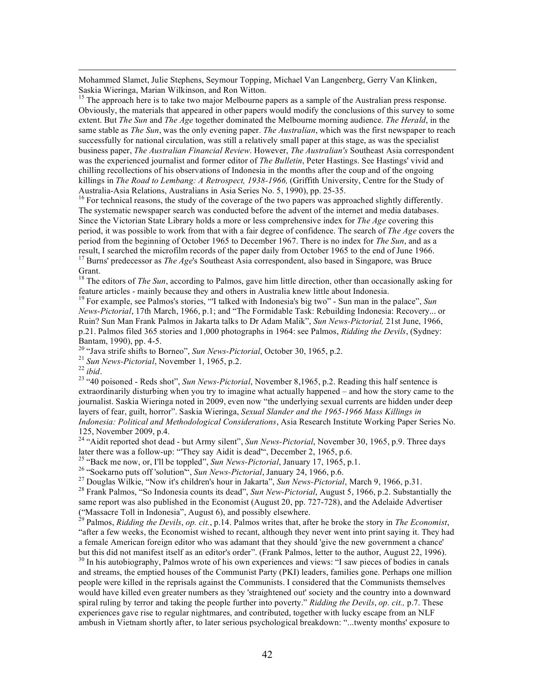Mohammed Slamet, Julie Stephens, Seymour Topping, Michael Van Langenberg, Gerry Van Klinken, Saskia Wieringa, Marian Wilkinson, and Ron Witton.

<sup>15</sup> The approach here is to take two major Melbourne papers as a sample of the Australian press response. Obviously, the materials that appeared in other papers would modify the conclusions of this survey to some extent. But *The Sun* and *The Age* together dominated the Melbourne morning audience. *The Herald*, in the same stable as *The Sun*, was the only evening paper. *The Australian*, which was the first newspaper to reach successfully for national circulation, was still a relatively small paper at this stage, as was the specialist business paper, *The Australian Financial Review*. However, *The Australian's* Southeast Asia correspondent was the experienced journalist and former editor of *The Bulletin*, Peter Hastings. See Hastings' vivid and chilling recollections of his observations of Indonesia in the months after the coup and of the ongoing killings in *The Road to Lembang: A Retrospect, 1938-1966,* (Griffith University, Centre for the Study of Australia-Asia Relations, Australians in Asia Series No. 5, 1990), pp. 25-35.<br><sup>16</sup> For technical reasons, the study of the coverage of the two papers was approached slightly differently.

The systematic newspaper search was conducted before the advent of the internet and media databases. Since the Victorian State Library holds a more or less comprehensive index for *The Age* covering this period, it was possible to work from that with a fair degree of confidence. The search of *The Age* covers the period from the beginning of October 1965 to December 1967. There is no index for *The Sun*, and as a result, I searched the microfilm records of the paper daily from October 1965 to the end of June 1966.

<sup>17</sup> Burns' predecessor as *The Age*'s Southeast Asia correspondent, also based in Singapore, was Bruce Grant.

<sup>18</sup> The editors of *The Sun*, according to Palmos, gave him little direction, other than occasionally asking for feature articles - mainly because they and others in Australia knew little about Indonesia. <sup>19</sup> For example, see Palmos's stories, "'I talked with Indonesia's big two" - Sun man in the palace", *Sun* 

*News-Pictorial*, 17th March, 1966, p.1; and "The Formidable Task: Rebuilding Indonesia: Recovery... or Ruin? Sun Man Frank Palmos in Jakarta talks to Dr Adam Malik", *Sun News-Pictorial,* 21st June, 1966, p.21. Palmos filed 365 stories and 1,000 photographs in 1964: see Palmos, *Ridding the Devils*, (Sydney: Bantam, 1990), pp. 4-5.<br><sup>20</sup> "Java strife shifts to Borneo", *Sun News-Pictorial*, October 30, 1965, p.2.<br><sup>21</sup> *Sun News-Pictorial*, November 1, 1965, p.2.<br><sup>22</sup> *ibid.*<br><sup>23</sup> "40 poisoned - Reds shot", *Sun News-Pictorial* 

extraordinarily disturbing when you try to imagine what actually happened – and how the story came to the journalist. Saskia Wieringa noted in 2009, even now "the underlying sexual currents are hidden under deep layers of fear, guilt, horror". Saskia Wieringa, *Sexual Slander and the 1965-1966 Mass Killings in Indonesia: Political and Methodological Considerations*, Asia Research Institute Working Paper Series No. 125, November 2009, p.4.

<sup>24</sup> "Aidit reported shot dead - but Army silent", *Sun News-Pictorial*, November 30, 1965, p.9. Three days later there was a follow-up: "They say Aidit is dead", December 2, 1965, p.6.<br><sup>25</sup> "Back me now, or, I'll be toppled", *Sun News-Pictorial*, January 17, 1965, p.1.<br><sup>26</sup> "Soekarno puts off 'solution", *Sun News-Pictorial*,

same report was also published in the Economist (August 20, pp. 727-728), and the Adelaide Advertiser ("Massacre Toll in Indonesia", August 6), and possibly elsewhere.

<sup>29</sup> Palmos, *Ridding the Devils*, *op. cit.*, p.14. Palmos writes that, after he broke the story in *The Economist*, "after a few weeks, the Economist wished to recant, although they never went into print saying it. They had a female American foreign editor who was adamant that they should 'give the new government a chance' but this did not manifest itself as an editor's order". (Frank Palmos, letter to the author, August 22, 1996).<br><sup>30</sup> In his autobiography, Palmos wrote of his own experiences and views: "I saw pieces of bodies in canals

and streams, the emptied houses of the Communist Party (PKI) leaders, families gone. Perhaps one million people were killed in the reprisals against the Communists. I considered that the Communists themselves would have killed even greater numbers as they 'straightened out' society and the country into a downward spiral ruling by terror and taking the people further into poverty." *Ridding the Devils*, *op. cit.,* p.7. These experiences gave rise to regular nightmares, and contributed, together with lucky escape from an NLF ambush in Vietnam shortly after, to later serious psychological breakdown: "...twenty months' exposure to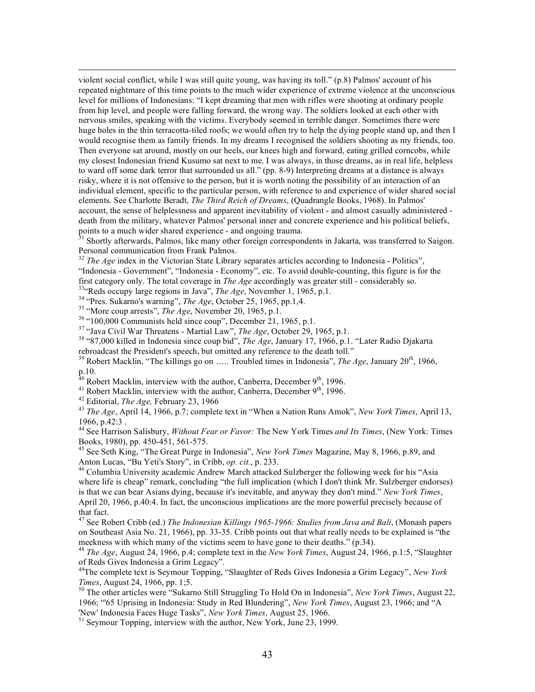violent social conflict, while I was still quite young, was having its toll." (p.8) Palmos' account of his repeated nightmare of this time points to the much wider experience of extreme violence at the unconscious level for millions of Indonesians: "I kept dreaming that men with rifles were shooting at ordinary people from hip level, and people were falling forward, the wrong way. The soldiers looked at each other with nervous smiles, speaking with the victims. Everybody seemed in terrible danger. Sometimes there were huge holes in the thin terracotta-tiled roofs; we would often try to help the dying people stand up, and then I would recognise them as family friends. In my dreams I recognised the soldiers shooting as my friends, too. Then everyone sat around, mostly on our heels, our knees high and forward, eating grilled corncobs, while my closest Indonesian friend Kusumo sat next to me. I was always, in those dreams, as in real life, helpless to ward off some dark terror that surrounded us all." (pp. 8-9) Interpreting dreams at a distance is always risky, where it is not offensive to the person, but it is worth noting the possibility of an interaction of an individual element, specific to the particular person, with reference to and experience of wider shared social elements. See Charlotte Beradt, *The Third Reich of Dreams*, (Quadrangle Books, 1968). In Palmos' account, the sense of helplessness and apparent inevitability of violent - and almost casually administered death from the military, whatever Palmos' personal inner and concrete experience and his political beliefs, points to a much wider shared experience - and ongoing trauma.<br><sup>31</sup> Shortly afterwards, Palmos, like many other foreign correspondents in Jakarta, was transferred to Saigon.

Personal communication from Frank Palmos.

<sup>32</sup> *The Age* index in the Victorian State Library separates articles according to Indonesia - Politics", "Indonesia - Government", "Indonesia - Economy", etc. To avoid double-counting, this figure is for the first category only. The total coverage in *The Age* accordingly was greater still - considerably so.<br><sup>33</sup><sup>4</sup>Reds occupy large regions in Java'', *The Age*, November 1, 1965, p.1.<br><sup>34</sup> <sup>4</sup>Pres. Sukarno's warning", *The Ag* 

rebroadcast the President's speech, but omitted any reference to the death toll."

<sup>39</sup> Robert Macklin, "The killings go on ..... Troubled times in Indonesia", *The Age*, January 20<sup>th</sup>, 1966, p.10.

<sup>40</sup> Robert Macklin, interview with the author, Canberra, December 9<sup>th</sup>, 1996.<br><sup>41</sup> Robert Macklin, interview with the author, Canberra, December 9<sup>th</sup>, 1996.<br><sup>42</sup> Editorial, *The Age*, February 23, 1966<br><sup>43</sup> *The Age*, A 1966, p.42:3 .

<sup>44</sup> See Harrison Salisbury, *Without Fear or Favor:* The New York Times *and Its Times*, (New York: Times

<sup>45</sup> See Seth King, "The Great Purge in Indonesia", *New York Times* Magazine, May 8, 1966, p.89, and Anton Lucas, "Bu Yeti's Story", in Cribb, *op. cit.*, p. 233.

<sup>46</sup> Columbia University academic Andrew March attacked Sulzberger the following week for his "Asia where life is cheap" remark, concluding "the full implication (which I don't think Mr. Sulzberger endorses) is that we can bear Asians dying, because it's inevitable, and anyway they don't mind." *New York Times*, April 20, 1966, p.40:4. In fact, the unconscious implications are the more powerful precisely because of that fact.

<sup>47</sup> See Robert Cribb (ed.) *The Indonesian Killings 1965-1966: Studies from Java and Bali*, (Monash papers on Southeast Asia No. 21, 1966), pp. 33-35. Cribb points out that what really needs to be explained is "the meekness with which many of the victims seem to have gone to their deaths." (p.34).<br><sup>48</sup> *The Age*, August 24, 1966, p.4; complete text in the *New York Times*, August 24, 1966, p.1:5, "Slaughter

of Reds Gives Indonesia a Grim Legacy".

<sup>49</sup>The complete text is Seymour Topping, "Slaughter of Reds Gives Indonesia a Grim Legacy", *New York Times*, August 24, 1966, pp. 1;5.

<sup>50</sup> The other articles were "Sukarno Still Struggling To Hold On in Indonesia", *New York Times*, August 22, 1966; "'65 Uprising in Indonesia: Study in Red Blundering", *New York Times*, August 23, 1966; and "A

<sup>51</sup> Seymour Topping, interview with the author, New York, June 23, 1999.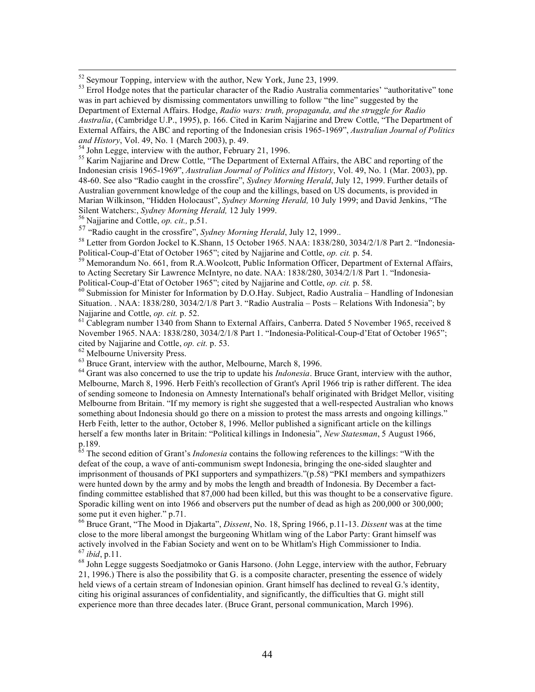<sup>52</sup> Seymour Topping, interview with the author, New York, June 23, 1999.

 $53$  Errol Hodge notes that the particular character of the Radio Australia commentaries' "authoritative" tone was in part achieved by dismissing commentators unwilling to follow "the line" suggested by the Department of External Affairs. Hodge, *Radio wars: truth, propaganda, and the struggle for Radio Australia*, (Cambridge U.P., 1995), p. 166. Cited in Karim Najjarine and Drew Cottle, "The Department of External Affairs, the ABC and reporting of the Indonesian crisis 1965-1969", *Australian Journal of Politics and History*, Vol. 49, No. 1 (March 2003), p. 49.<br><sup>54</sup> John Legge, interview with the author, February 21, 1996.

<sup>55</sup> Karim Najjarine and Drew Cottle, "The Department of External Affairs, the ABC and reporting of the Indonesian crisis 1965-1969", *Australian Journal of Politics and History*, Vol. 49, No. 1 (Mar. 2003), pp. 48-60. See also "Radio caught in the crossfire", *Sydney Morning Herald*, July 12, 1999. Further details of Australian government knowledge of the coup and the killings, based on US documents, is provided in Marian Wilkinson, "Hidden Holocaust", *Sydney Morning Herald,* 10 July 1999; and David Jenkins, "The Silent Watchers:, *Sydney Morning Herald*, 12 July 1999.<br><sup>56</sup> Najjarine and Cottle, *op. cit.*, p.51.

<sup>57</sup> "Radio caught in the crossfire", *Sydney Morning Herald*, July 12, 1999..

<sup>58</sup> Letter from Gordon Jockel to K.Shann, 15 October 1965. NAA: 1838/280, 3034/2/1/8 Part 2. "Indonesia-Political-Coup-d'Etat of October 1965"; cited by Najjarine and Cottle, *op. cit.* p. 54.

<sup>59</sup> Memorandum No. 661, from R.A.Woolcott, Public Information Officer, Department of External Affairs, to Acting Secretary Sir Lawrence McIntyre, no date. NAA: 1838/280, 3034/2/1/8 Part 1. "Indonesia-<br>Political-Coup-d'Etat of October 1965"; cited by Najjarine and Cottle, op. cit. p. 58.

<sup>60</sup> Submission for Minister for Information by D.O.Hay. Subject, Radio Australia – Handling of Indonesian Situation. . NAA: 1838/280, 3034/2/1/8 Part 3. "Radio Australia – Posts – Relations With Indonesia"; by Najjarine and Cottle, *op. cit.* p. 52.<br><sup>61</sup> Cablegram number 1340 from Shann to External Affairs, Canberra. Dated 5 November 1965, received 8

November 1965. NAA: 1838/280, 3034/2/1/8 Part 1. "Indonesia-Political-Coup-d'Etat of October 1965"; cited by Najjarine and Cottle, *op. cit.* p. 53.<br>
<sup>62</sup> Melbourne University Press.<br>
<sup>63</sup> Bruce Grant, interview with the author, Melbourne, March 8, 1996.<br>
<sup>64</sup> Grant was also concerned to use the trip to update his *Indo* 

Melbourne, March 8, 1996. Herb Feith's recollection of Grant's April 1966 trip is rather different. The idea of sending someone to Indonesia on Amnesty International's behalf originated with Bridget Mellor, visiting Melbourne from Britain. "If my memory is right she suggested that a well-respected Australian who knows something about Indonesia should go there on a mission to protest the mass arrests and ongoing killings." Herb Feith, letter to the author, October 8, 1996. Mellor published a significant article on the killings herself a few months later in Britain: "Political killings in Indonesia", *New Statesman*, 5 August 1966, p.189.

<sup>65</sup> The second edition of Grant's *Indonesia* contains the following references to the killings: "With the defeat of the coup, a wave of anti-communism swept Indonesia, bringing the one-sided slaughter and imprisonment of thousands of PKI supporters and sympathizers."(p.58) "PKI members and sympathizers were hunted down by the army and by mobs the length and breadth of Indonesia. By December a factfinding committee established that 87,000 had been killed, but this was thought to be a conservative figure. Sporadic killing went on into 1966 and observers put the number of dead as high as 200,000 or 300,000; some put it even higher." p.71.

<sup>66</sup> Bruce Grant, "The Mood in Djakarta", *Dissent*, No. 18, Spring 1966, p.11-13. *Dissent* was at the time close to the more liberal amongst the burgeoning Whitlam wing of the Labor Party: Grant himself was actively involved in the Fabian Society and went on to be Whitlam's High Commissioner to India.<br> $^{67}$  *ibid*, p.11.

<sup>68</sup> John Legge suggests Soedjatmoko or Ganis Harsono. (John Legge, interview with the author, February 21, 1996.) There is also the possibility that G. is a composite character, presenting the essence of widely held views of a certain stream of Indonesian opinion. Grant himself has declined to reveal G.'s identity, citing his original assurances of confidentiality, and significantly, the difficulties that G. might still experience more than three decades later. (Bruce Grant, personal communication, March 1996).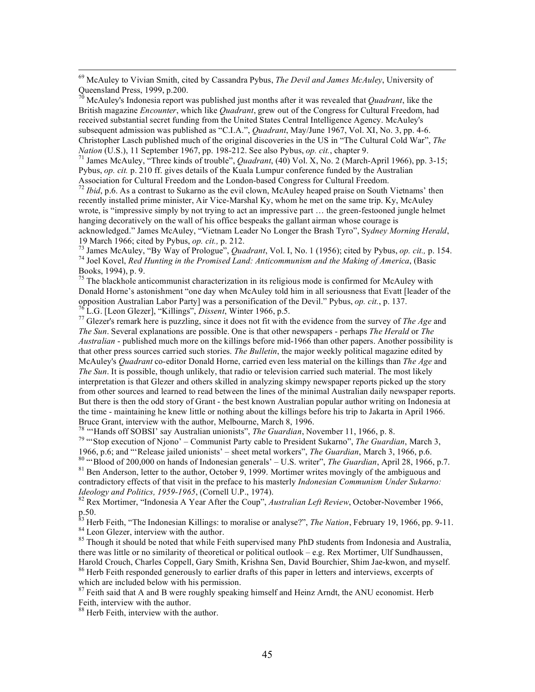69 McAuley to Vivian Smith, cited by Cassandra Pybus, *The Devil and James McAuley*, University of Queensland Press, 1999, p.200.

<sup>70</sup> McAuley's Indonesia report was published just months after it was revealed that *Quadrant*, like the British magazine *Encounter*, which like *Quadrant*, grew out of the Congress for Cultural Freedom, had received substantial secret funding from the United States Central Intelligence Agency. McAuley's subsequent admission was published as "C.I.A.", *Quadrant*, May/June 1967, Vol. XI, No. 3, pp. 4-6. Christopher Lasch published much of the original discoveries in the US in "The Cultural Cold War", *The Nation* (U.S.), 11 September 1967, pp. 198-212. See also Pybus, *op. cit.*, chapter 9.<br><sup>71</sup> James McAuley, "Three kinds of trouble", *Quadrant*, (40) Vol. X, No. 2 (March-April 1966), pp. 3-15;

Pybus, *op. cit.* p. 210 ff. gives details of the Kuala Lumpur conference funded by the Australian

Association for Cultural Freedom and the London-based Congress for Cultural Freedom. <sup>72</sup> *Ibid*, p.6. As a contrast to Sukarno as the evil clown, McAuley heaped praise on South Vietnams' then recently installed prime minister, Air Vice-Marshal Ky, whom he met on the same trip. Ky, McAuley wrote, is "impressive simply by not trying to act an impressive part … the green-festooned jungle helmet hanging decoratively on the wall of his office bespeaks the gallant airman whose courage is acknowledged." James McAuley, "Vietnam Leader No Longer the Brash Tyro", Sydney Morning Herald, 19 March 1966; cited by Pybus, op. cit., p. 212.

<sup>73</sup> James McAuley, "By Way of Prologue", *Quadrant*, Vol. I, No. 1 (1956); cited by Pybus, *op. cit.*, p. 154.<br><sup>74</sup> Joel Kovel, *Red Hunting in the Promised Land: Anticommunism and the Making of America*, (Basic Books, 1994), p. 9.

 $75$  The blackhole anticommunist characterization in its religious mode is confirmed for McAuley with Donald Horne's astonishment "one day when McAuley told him in all seriousness that Evatt [leader of the on the main of the Devil." Pybus, op. cit., p. 137.<br><sup>76</sup> L.G. [Leon Glezer], "Killings", *Dissent*, Winter 1966, p.5.<br><sup>77</sup> Glezer's remark here is puzzling, since it does not fit with the evidence from the survey of *The A* 

*The Sun*. Several explanations are possible. One is that other newspapers - perhaps *The Herald* or *The Australian* - published much more on the killings before mid-1966 than other papers. Another possibility is that other press sources carried such stories. *The Bulletin*, the major weekly political magazine edited by McAuley's *Quadrant* co-editor Donald Horne, carried even less material on the killings than *The Age* and *The Sun*. It is possible, though unlikely, that radio or television carried such material. The most likely interpretation is that Glezer and others skilled in analyzing skimpy newspaper reports picked up the story from other sources and learned to read between the lines of the minimal Australian daily newspaper reports. But there is then the odd story of Grant - the best known Australian popular author writing on Indonesia at the time - maintaining he knew little or nothing about the killings before his trip to Jakarta in April 1966. Bruce Grant, interview with the author, Melbourne, March 8, 1996.<br><sup>78</sup> "Hands off SOBSI' say Australian unionists", *The Guardian*, November 11, 1966, p. 8.

<sup>79</sup> "Stop execution of Njono' – Communist Party cable to President Sukarno", *The Guardian*, March 3,

1966, p.6; and "Release jailed unionists' – sheet metal workers", *The Guardian*, March 3, 1966, p.6.<br><sup>80</sup> "Blood of 200,000 on hands of Indonesian generals' – U.S. writer", *The Guardian*, April 28, 1966, p.7.<br><sup>81</sup> Ben A contradictory effects of that visit in the preface to his masterly *Indonesian Communism Under Sukarno: Ideology and Politics, 1959-1965*, (Cornell U.P., 1974).<br><sup>82</sup> Rex Mortimer, "Indonesia A Year After the Coup", *Australian Left Review*, October-November 1966,

p.50.

<sup>83</sup> Herb Feith, "The Indonesian Killings: to moralise or analyse?", *The Nation*, February 19, 1966, pp. 9-11.<br><sup>84</sup> Leon Glezer, interview with the author.<br><sup>85</sup> Though it should be noted that while Feith supervised many P

there was little or no similarity of theoretical or political outlook – e.g. Rex Mortimer, Ulf Sundhaussen,<br>Harold Crouch, Charles Coppell, Gary Smith, Krishna Sen, David Bourchier, Shim Jae-kwon, and myself.

 $^{86}$  Herb Feith responded generously to earlier drafts of this paper in letters and interviews, excerpts of which are included below with his permission.

<sup>87</sup> Feith said that A and B were roughly speaking himself and Heinz Arndt, the ANU economist. Herb Feith, interview with the author.

88 Herb Feith, interview with the author.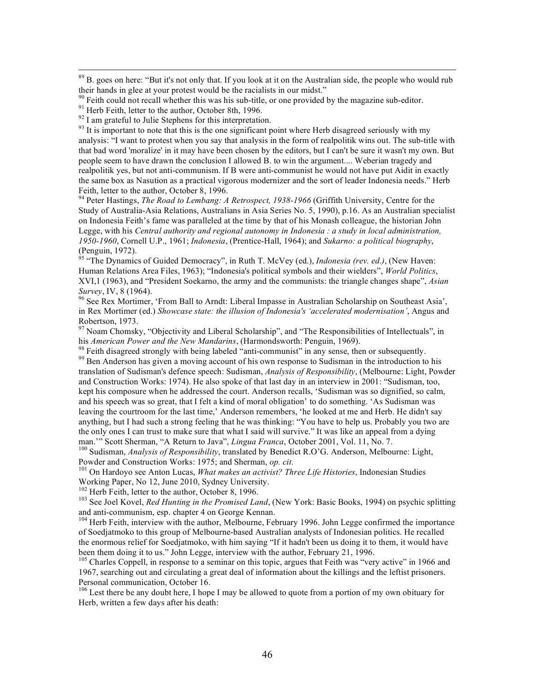$89$  B. goes on here: "But it's not only that. If you look at it on the Australian side, the people who would rub their hands in glee at your protest would be the racialists in our midst."

analysis: "I want to protest when you say that analysis in the form of realpolitik wins out. The sub-title with that bad word 'moralize' in it may have been chosen by the editors, but I can't be sure it wasn't my own. But people seem to have drawn the conclusion I allowed B. to win the argument.... Weberian tragedy and realpolitik yes, but not anti-communism. If B were anti-communist he would not have put Aidit in exactly the same box as Nasution as a practical vigorous modernizer and the sort of leader Indonesia needs." Herb Feith, letter to the author, October 8, 1996.

94 Peter Hastings, *The Road to Lembang: A Retrospect, 1938-1966* (Griffith University, Centre for the Study of Australia-Asia Relations, Australians in Asia Series No. 5, 1990), p.16. As an Australian specialist on Indonesia Feith's fame was paralleled at the time by that of his Monash colleague, the historian John Legge, with his *Central authority and regional autonomy in Indonesia : a study in local administration, 1950-1960*, Cornell U.P., 1961; *Indonesia*, (Prentice-Hall, 1964); and *Sukarno: a political biography*, (Penguin, 1972).

<sup>95</sup> "The Dynamics of Guided Democracy", in Ruth T. McVey (ed.), *Indonesia (rev. ed.)*, (New Haven: Human Relations Area Files, 1963); "Indonesia's political symbols and their wielders", *World Politics*, XVI,1 (1963), and "President Soekarno, the army and the communists: the triangle changes shape", *Asian* 

<sup>96</sup> See Rex Mortimer, 'From Ball to Arndt: Liberal Impasse in Australian Scholarship on Southeast Asia', in Rex Mortimer (ed.) *Showcase state: the illusion of Indonesia's 'accelerated modernisation'*, Angus and Robertson, 1973.

<sup>97</sup> Noam Chomsky, "Objectivity and Liberal Scholarship", and "The Responsibilities of Intellectuals", in his *American Power and the New Mandarins*, (Harmondsworth: Penguin, 1969).

<sup>98</sup> Feith disagreed strongly with being labeled "anti-communist" in any sense, then or subsequently.<br><sup>99</sup> Ben Anderson has given a moving account of his own response to Sudisman in the introduction to his

translation of Sudisman's defence speech: Sudisman, *Analysis of Responsibility*, (Melbourne: Light, Powder and Construction Works: 1974). He also spoke of that last day in an interview in 2001: "Sudisman, too, kept his composure when he addressed the court. Anderson recalls, 'Sudisman was so dignified, so calm, and his speech was so great, that I felt a kind of moral obligation' to do something. 'As Sudisman was leaving the courtroom for the last time,' Anderson remembers, 'he looked at me and Herb. He didn't say anything, but I had such a strong feeling that he was thinking: "You have to help us. Probably you two are the only ones I can trust to make sure that what I said will survive." It was like an appeal from a dying

man.'" Scott Sherman, "A Return to Java", *Lingua Franca*, October 2001, Vol. 11, No. 7.<br><sup>100</sup> Sudisman, *Analysis of Responsibility*, translated by Benedict R.O'G. Anderson, Melbourne: Light,<br>Powder and Construction Works

<sup>101</sup> On Hardoyo see Anton Lucas, *What makes an activist? Three Life Histories*, Indonesian Studies Working Paper, No 12, June 2010, Sydney University.

<sup>103</sup> See Joel Kovel, *Red Hunting in the Promised Land*, (New York: Basic Books, 1994) on psychic splitting and anti-communism, esp. chapter 4 on George Kennan.<br><sup>104</sup> Herb Feith, interview with the author, Melbourne, February 1996. John Legge confirmed the importance

of Soedjatmoko to this group of Melbourne-based Australian analysts of Indonesian politics. He recalled the enormous relief for Soedjatmoko, with him saying "If it hadn't been us doing it to them, it would have been them doing it to us." John Legge, interview with the author, February 21, 1996.<br><sup>105</sup> Charles Coppell, in response to a seminar on this topic, argues that Feith was "very active" in 1966 and

1967, searching out and circulating a great deal of information about the killings and the leftist prisoners. Personal communication, October 16.

<sup>106</sup> Lest there be any doubt here, I hope I may be allowed to quote from a portion of my own obituary for Herb, written a few days after his death:

<sup>&</sup>lt;sup>90</sup> Feith could not recall whether this was his sub-title, or one provided by the magazine sub-editor.<br><sup>91</sup> Herb Feith, letter to the author, October 8th, 1996.<br><sup>92</sup> I am grateful to Julie Stephens for this interpretatio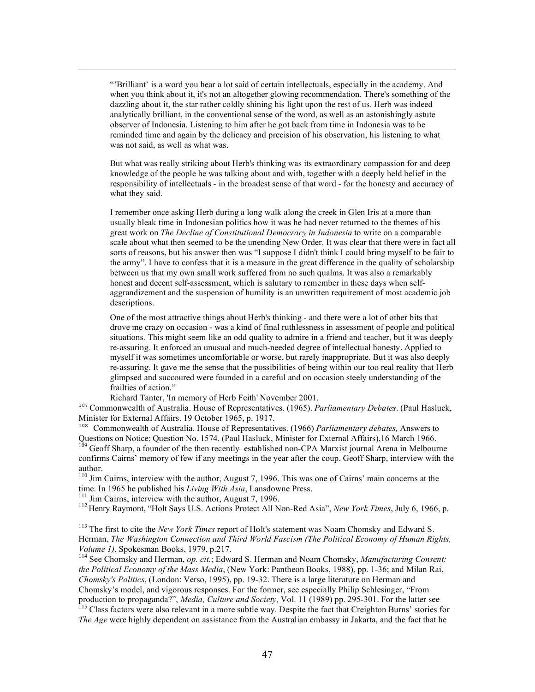"'Brilliant' is a word you hear a lot said of certain intellectuals, especially in the academy. And when you think about it, it's not an altogether glowing recommendation. There's something of the dazzling about it, the star rather coldly shining his light upon the rest of us. Herb was indeed analytically brilliant, in the conventional sense of the word, as well as an astonishingly astute observer of Indonesia. Listening to him after he got back from time in Indonesia was to be reminded time and again by the delicacy and precision of his observation, his listening to what was not said, as well as what was.

But what was really striking about Herb's thinking was its extraordinary compassion for and deep knowledge of the people he was talking about and with, together with a deeply held belief in the responsibility of intellectuals - in the broadest sense of that word - for the honesty and accuracy of what they said.

I remember once asking Herb during a long walk along the creek in Glen Iris at a more than usually bleak time in Indonesian politics how it was he had never returned to the themes of his great work on *The Decline of Constitutional Democracy in Indonesia* to write on a comparable scale about what then seemed to be the unending New Order. It was clear that there were in fact all sorts of reasons, but his answer then was "I suppose I didn't think I could bring myself to be fair to the army". I have to confess that it is a measure in the great difference in the quality of scholarship between us that my own small work suffered from no such qualms. It was also a remarkably honest and decent self-assessment, which is salutary to remember in these days when selfaggrandizement and the suspension of humility is an unwritten requirement of most academic job descriptions.

One of the most attractive things about Herb's thinking - and there were a lot of other bits that drove me crazy on occasion - was a kind of final ruthlessness in assessment of people and political situations. This might seem like an odd quality to admire in a friend and teacher, but it was deeply re-assuring. It enforced an unusual and much-needed degree of intellectual honesty. Applied to myself it was sometimes uncomfortable or worse, but rarely inappropriate. But it was also deeply re-assuring. It gave me the sense that the possibilities of being within our too real reality that Herb glimpsed and succoured were founded in a careful and on occasion steely understanding of the frailties of action."

Richard Tanter, 'In memory of Herb Feith' November 2001.

<sup>107</sup> Commonwealth of Australia. House of Representatives. (1965). *Parliamentary Debates*. (Paul Hasluck, Minister for External Affairs. 19 October 1965, p. 1917.

<sup>108</sup> Commonwealth of Australia. House of Representatives. (1966) *Parliamentary debates*, Answers to Ouestions on Notice: Ouestion No. 1574. (Paul Hasluck, Minister for External Affairs). 16 March 1966.

Questions on Notice: Question No. 1574. (Paul Hasluck, Minister for Form 1966. 109 Geoff Sharp, a founder of the then recently–established non-CPA Marxist journal Arena in Melbourne confirms Cairns' memory of few if any meetings in the year after the coup. Geoff Sharp, interview with the author.

<sup>110</sup> Jim Cairns, interview with the author, August 7, 1996. This was one of Cairns' main concerns at the time. In 1965 he published his *Living With Asia*, Lansdowne Press.

 $\overline{a}$ 

<sup>111</sup> Jim Cairns, interview with the author, August 7, 1996.<br><sup>112</sup> Henry Raymont, "Holt Says U.S. Actions Protect All Non-Red Asia", *New York Times*, July 6, 1966, p.

113 The first to cite the *New York Times* report of Holt's statement was Noam Chomsky and Edward S. Herman, *The Washington Connection and Third World Fascism (The Political Economy of Human Rights,* 

*Volume 1)*, Spokesman Books, 1979, p.217.<br><sup>114</sup> See Chomsky and Herman, *op. cit.*; Edward S. Herman and Noam Chomsky, *Manufacturing Consent: the Political Economy of the Mass Media*, (New York: Pantheon Books, 1988), pp. 1-36; and Milan Rai, *Chomsky's Politics*, (London: Verso, 1995), pp. 19-32. There is a large literature on Herman and Chomsky's model, and vigorous responses. For the former, see especially Philip Schlesinger, "From production to propaganda?", Media, Culture and Society, Vol. 11 (1989) pp. 295-301. For the latter see

<sup>115</sup> Class factors were also relevant in a more subtle way. Despite the fact that Creighton Burns' stories for *The Age* were highly dependent on assistance from the Australian embassy in Jakarta, and the fact that he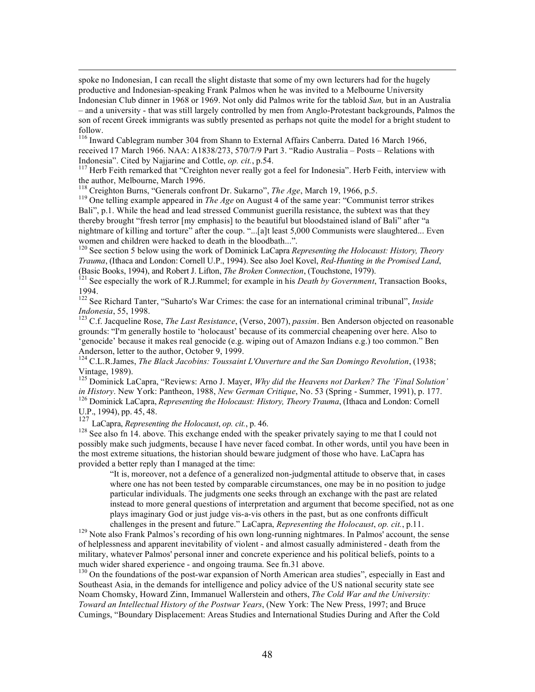spoke no Indonesian, I can recall the slight distaste that some of my own lecturers had for the hugely productive and Indonesian-speaking Frank Palmos when he was invited to a Melbourne University Indonesian Club dinner in 1968 or 1969. Not only did Palmos write for the tabloid *Sun,* but in an Australia – and a university - that was still largely controlled by men from Anglo-Protestant backgrounds, Palmos the son of recent Greek immigrants was subtly presented as perhaps not quite the model for a bright student to follow.

<sup>116</sup> Inward Cablegram number 304 from Shann to External Affairs Canberra. Dated 16 March 1966, received 17 March 1966. NAA: A1838/273, 570/7/9 Part 3. "Radio Australia – Posts – Relations with Indonesia". Cited by Najjarine and Cottle, *op. cit.*, p.54.<br><sup>117</sup> Herb Feith remarked that "Creighton never really got a feel for Indonesia". Herb Feith, interview with

the author, Melbourne, March 1996.<br><sup>118</sup> Creighton Burns, "Generals confront Dr. Sukarno", *The Age*, March 19, 1966, p.5.

<sup>119</sup> One telling example appeared in *The Age* on August 4 of the same year: "Communist terror strikes Bali", p.1. While the head and lead stressed Communist guerilla resistance, the subtext was that they thereby brought "fresh terror [my emphasis] to the beautiful but bloodstained island of Bali" after "a nightmare of killing and torture" after the coup. "...[a]t least 5,000 Communists were slaughtered... Even women and children were hacked to death in the bloodbath...".

<sup>120</sup> See section 5 below using the work of Dominick LaCapra *Representing the Holocaust: History, Theory Trauma*, (Ithaca and London: Cornell U.P., 1994). See also Joel Kovel, *Red-Hunting in the Promised Land*, (Basic Books, 1994), and Robert J. Lifton, *The Broken Connection*, (Touchstone, 1979). 121 See especially the work of R.J.Rummel; for example in his *Death by Government*, Transaction Books,

1994.

122 See Richard Tanter, "Suharto's War Crimes: the case for an international criminal tribunal", *Inside Indonesia*, 55, 1998.<br><sup>123</sup> C.f. Jacqueline Rose, *The Last Resistance*, (Verso, 2007), *passim*. Ben Anderson objected on reasonable

grounds: "I'm generally hostile to 'holocaust' because of its commercial cheapening over here. Also to 'genocide' because it makes real genocide (e.g. wiping out of Amazon Indians e.g.) too common." Ben Anderson, letter to the author, October 9, 1999.

124 C.L.R.James, *The Black Jacobins: Toussaint L'Ouverture and the San Domingo Revolution*, (1938; Vintage, 1989).

<sup>125</sup> Dominick LaCapra, "Reviews: Arno J. Mayer, *Why did the Heavens not Darken? The 'Final Solution' in History*. New York: Pantheon, 1988, *New German Critique*, No. 53 (Spring - Summer, 1991), p. 177. <sup>126</sup> Dominick LaCapra, *Representing the Holocaust: History, Theory Trauma*, (Ithaca and London: Cornell U.P., 1994), pp. 45, 48.

<sup>127</sup> LaCapra, *Representing the Holocaust*, *op. cit.*, p. 46.

 $128$  See also fn 14. above. This exchange ended with the speaker privately saying to me that I could not possibly make such judgments, because I have never faced combat. In other words, until you have been in the most extreme situations, the historian should beware judgment of those who have. LaCapra has provided a better reply than I managed at the time:

"It is, moreover, not a defence of a generalized non-judgmental attitude to observe that, in cases where one has not been tested by comparable circumstances, one may be in no position to judge particular individuals. The judgments one seeks through an exchange with the past are related instead to more general questions of interpretation and argument that become specified, not as one plays imaginary God or just judge vis-a-vis others in the past, but as one confronts difficult

challenges in the present and future." LaCapra, *Representing the Holocaust*, *op. cit.*, p.11.<br><sup>129</sup> Note also Frank Palmos's recording of his own long-running nightmares. In Palmos' account, the sense of helplessness and apparent inevitability of violent - and almost casually administered - death from the military, whatever Palmos' personal inner and concrete experience and his political beliefs, points to a much wider shared experience - and ongoing trauma. See fn.31 above.<br><sup>130</sup> On the foundations of the post-war expansion of North American area studies", especially in East and

Southeast Asia, in the demands for intelligence and policy advice of the US national security state see Noam Chomsky, Howard Zinn, Immanuel Wallerstein and others, *The Cold War and the University: Toward an Intellectual History of the Postwar Years*, (New York: The New Press, 1997; and Bruce Cumings, "Boundary Displacement: Areas Studies and International Studies During and After the Cold